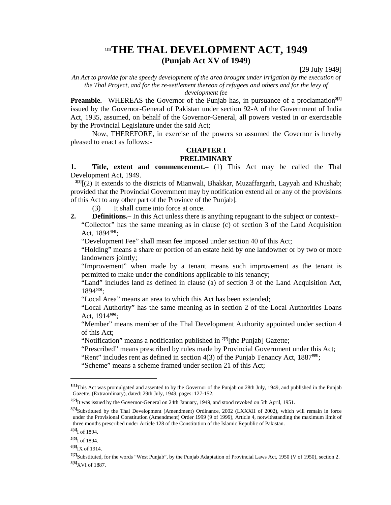# **1[1]THE THAL DEVELOPMENT ACT, 1949 (Punjab Act XV of 1949)**

[29 July 1949]

*An Act to provide for the speedy development of the area brought under irrigation by the execution of the Thal Project, and for the re-settlement thereon of refugees and others and for the levy of* 

*development fee* 

**Preamble.**– WHEREAS the Governor of the Punjab has, in pursuance of a proclamation<sup>2[2]</sup> issued by the Governor-General of Pakistan under section 92-A of the Government of India Act, 1935, assumed, on behalf of the Governor-General, all powers vested in or exercisable by the Provincial Legislature under the said Act;

 Now, THEREFORE, in exercise of the powers so assumed the Governor is hereby pleased to enact as follows:-

# **CHAPTER I**

### **PRELIMINARY**

**1. Title, extent and commencement.–** (1) This Act may be called the Thal Development Act, 1949.

**3[3]**[(2) It extends to the districts of Mianwali, Bhakkar, Muzaffargarh, Layyah and Khushab; provided that the Provincial Government may by notification extend all or any of the provisions of this Act to any other part of the Province of the Punjab].

(3) It shall come into force at once.

**2. Definitions.**— In this Act unless there is anything repugnant to the subject or context– "Collector" has the same meaning as in clause (c) of section 3 of the Land Acquisition Act, 1894**4[4]**;

"Development Fee" shall mean fee imposed under section 40 of this Act;

 "Holding" means a share or portion of an estate held by one landowner or by two or more landowners jointly;

 "Improvement" when made by a tenant means such improvement as the tenant is permitted to make under the conditions applicable to his tenancy;

 "Land" includes land as defined in clause (a) of section 3 of the Land Acquisition Act, 1894**5[5]**;

"Local Area" means an area to which this Act has been extended;

 "Local Authority" has the same meaning as in section 2 of the Local Authorities Loans Act, 1914**6[6]**;

 "Member" means member of the Thal Development Authority appointed under section 4 of this Act;

"Notification" means a notification published in **7[7]**[the Punjab] Gazette;

"Prescribed" means prescribed by rules made by Provincial Government under this Act;

"Rent" includes rent as defined in section 4(3) of the Punjab Tenancy Act, 1887<sup>8[8]</sup>;

"Scheme" means a scheme framed under section 21 of this Act;

**<sup>1[1]</sup>**This Act was promulgated and assented to by the Governor of the Punjab on 28th July, 1949, and published in the Punjab Gazette, (Extraordinary), dated: 29th July, 1949, pages: 127-152.

**<sup>2[2]</sup>**It was issued by the Governor-General on 24th January, 1949, and stood revoked on 5th April, 1951.

**<sup>3[3]</sup>**Substituted by the Thal Development (Amendment) Ordinance, 2002 (LXXXII of 2002), which will remain in force under the Provisional Constitution (Amendment) Order 1999 (9 of 1999), Article 4, notwithstanding the maximum limit of three months prescribed under Article 128 of the Constitution of the Islamic Republic of Pakistan.

**<sup>4[4]</sup>**I of 1894.

**<sup>5[5]</sup>**I of 1894.

**<sup>6[6]</sup>**IX of 1914.

**<sup>7[7]</sup>**Substituted, for the words "West Punjab", by the Punjab Adaptation of Provincial Laws Act, 1950 (V of 1950), section 2. **8[8]**XVI of 1887.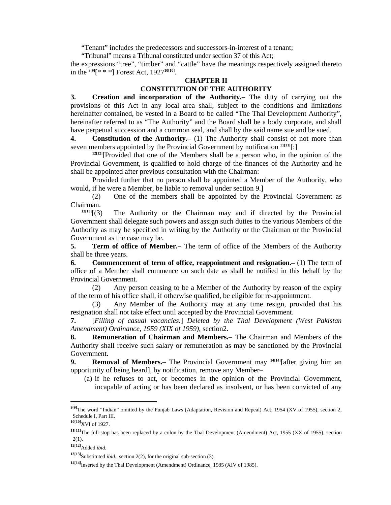"Tenant" includes the predecessors and successors-in-interest of a tenant;

"Tribunal" means a Tribunal constituted under section 37 of this Act;

the expressions "tree", "timber" and "cattle" have the meanings respectively assigned thereto in the **9[9]**[\* \* \*] Forest Act, 1927**10[10]**.

#### **CHAPTER II CONSTITUTION OF THE AUTHORITY**

**3. Creation and incorporation of the Authority.–** The duty of carrying out the provisions of this Act in any local area shall, subject to the conditions and limitations hereinafter contained, be vested in a Board to be called "The Thal Development Authority", hereinafter referred to as "The Authority" and the Board shall be a body corporate, and shall have perpetual succession and a common seal, and shall by the said name sue and be sued.

**4.** Constitution of the Authority. (1) The Authority shall consist of not more than seven members appointed by the Provincial Government by notification **11[11]**[:]

<sup>12[12]</sup>[Provided that one of the Members shall be a person who, in the opinion of the Provincial Government, is qualified to hold charge of the finances of the Authority and he shall be appointed after previous consultation with the Chairman:

 Provided further that no person shall be appointed a Member of the Authority, who would, if he were a Member, be liable to removal under section 9.]

 (2) One of the members shall be appointed by the Provincial Government as Chairman.

 $13[13]$ <sup>[(3)</sup>] The Authority or the Chairman may and if directed by the Provincial Government shall delegate such powers and assign such duties to the various Members of the Authority as may be specified in writing by the Authority or the Chairman or the Provincial Government as the case may be.

**5. Term of office of Member.–** The term of office of the Members of the Authority shall be three years.

**6. Commencement of term of office, reappointment and resignation.–** (1) The term of office of a Member shall commence on such date as shall be notified in this behalf by the Provincial Government.

 (2) Any person ceasing to be a Member of the Authority by reason of the expiry of the term of his office shall, if otherwise qualified, be eligible for re-appointment.

 (3) Any Member of the Authority may at any time resign, provided that his resignation shall not take effect until accepted by the Provincial Government.

**7.** [*Filling of casual vacancies.*] *Deleted by the Thal Development (West Pakistan Amendment) Ordinance, 1959 (XIX of 1959)*, section2.

**8. Remuneration of Chairman and Members.–** The Chairman and Members of the Authority shall receive such salary or remuneration as may be sanctioned by the Provincial Government.

**9.** Removal of Members.– The Provincial Government may <sup>14[14]</sup>[after giving him an opportunity of being heard], by notification, remove any Member–

 (a) if he refuses to act, or becomes in the opinion of the Provincial Government, incapable of acting or has been declared as insolvent, or has been convicted of any

**<sup>9[9]</sup>**The word "Indian" omitted by the Punjab Laws (Adaptation, Revision and Repeal) Act, 1954 (XV of 1955), section 2, Schedule I, Part III.

**<sup>10[10]</sup>**XVI of 1927.

**<sup>11[11]</sup>**The full-stop has been replaced by a colon by the Thal Development (Amendment) Act, 1955 (XX of 1955), section 2(1).

**<sup>12[12]</sup>**Added *ibid.*

**<sup>13[13]</sup>**Substituted *ibid*., section 2(2), for the original sub-section (3).

**<sup>14[14]</sup>**Inserted by the Thal Development (Amendment) Ordinance, 1985 (XIV of 1985).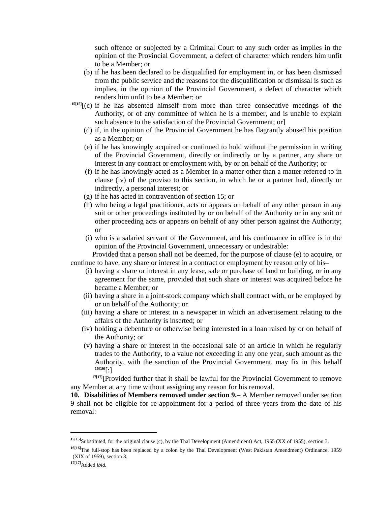such offence or subjected by a Criminal Court to any such order as implies in the opinion of the Provincial Government, a defect of character which renders him unfit to be a Member; or

- (b) if he has been declared to be disqualified for employment in, or has been dismissed from the public service and the reasons for the disqualification or dismissal is such as implies, in the opinion of the Provincial Government, a defect of character which renders him unfit to be a Member; or
- **15[15]**[(c) if he has absented himself from more than three consecutive meetings of the Authority, or of any committee of which he is a member, and is unable to explain such absence to the satisfaction of the Provincial Government; or
	- (d) if, in the opinion of the Provincial Government he has flagrantly abused his position as a Member; or
	- (e) if he has knowingly acquired or continued to hold without the permission in writing of the Provincial Government, directly or indirectly or by a partner, any share or interest in any contract or employment with, by or on behalf of the Authority; or
	- (f) if he has knowingly acted as a Member in a matter other than a matter referred to in clause (iv) of the proviso to this section, in which he or a partner had, directly or indirectly, a personal interest; or
	- (g) if he has acted in contravention of section 15; or
	- (h) who being a legal practitioner, acts or appears on behalf of any other person in any suit or other proceedings instituted by or on behalf of the Authority or in any suit or other proceeding acts or appears on behalf of any other person against the Authority; or
	- (i) who is a salaried servant of the Government, and his continuance in office is in the opinion of the Provincial Government, unnecessary or undesirable:

 Provided that a person shall not be deemed, for the purpose of clause (e) to acquire, or continue to have, any share or interest in a contract or employment by reason only of his–

- (i) having a share or interest in any lease, sale or purchase of land or building, or in any agreement for the same, provided that such share or interest was acquired before he became a Member; or
- (ii) having a share in a joint-stock company which shall contract with, or be employed by or on behalf of the Authority; or
- (iii) having a share or interest in a newspaper in which an advertisement relating to the affairs of the Authority is inserted; or
- (iv) holding a debenture or otherwise being interested in a loan raised by or on behalf of the Authority; or
- (v) having a share or interest in the occasional sale of an article in which he regularly trades to the Authority, to a value not exceeding in any one year, such amount as the Authority, with the sanction of the Provincial Government, may fix in this behalf **16[16]**[:]

**17[17]**[Provided further that it shall be lawful for the Provincial Government to remove any Member at any time without assigning any reason for his removal.

**10. Disabilities of Members removed under section 9.–** A Member removed under section 9 shall not be eligible for re-appointment for a period of three years from the date of his removal:

**<sup>15[15]</sup>**Substituted, for the original clause (c), by the Thal Development (Amendment) Act, 1955 (XX of 1955), section 3.

**<sup>16[16]</sup>**The full-stop has been replaced by a colon by the Thal Development (West Pakistan Amendment) Ordinance, 1959 (XIX of 1959), section 3.

**<sup>17[17]</sup>**Added *ibid.*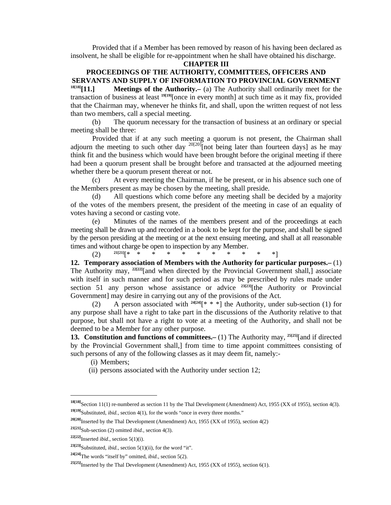Provided that if a Member has been removed by reason of his having been declared as insolvent, he shall be eligible for re-appointment when he shall have obtained his discharge.

#### **CHAPTER III**

# **PROCEEDINGS OF THE AUTHORITY, COMMITTEES, OFFICERS AND SERVANTS AND SUPPLY OF INFORMATION TO PROVINCIAL GOVERNMENT**

**18[18][11.] Meetings of the Authority.–** (a) The Authority shall ordinarily meet for the transaction of business at least **19[19]**[once in every month] at such time as it may fix, provided that the Chairman may, whenever he thinks fit, and shall, upon the written request of not less than two members, call a special meeting.

 (b) The quorum necessary for the transaction of business at an ordinary or special meeting shall be three:

 Provided that if at any such meeting a quorum is not present, the Chairman shall adjourn the meeting to such other day  $^{20[20]}$ [not being later than fourteen days] as he may think fit and the business which would have been brought before the original meeting if there had been a quorum present shall be brought before and transacted at the adjourned meeting whether there be a quorum present thereat or not.

 (c) At every meeting the Chairman, if he be present, or in his absence such one of the Members present as may be chosen by the meeting, shall preside.

 (d) All questions which come before any meeting shall be decided by a majority of the votes of the members present, the president of the meeting in case of an equality of votes having a second or casting vote.

 (e) Minutes of the names of the members present and of the proceedings at each meeting shall be drawn up and recorded in a book to be kept for the purpose, and shall be signed by the person presiding at the meeting or at the next ensuing meeting, and shall at all reasonable times and without charge be open to inspection by any Member.

(2) **21[21]**[\* \* \* \* \* \* \* \* \* \* \*]

**12. Temporary association of Members with the Authority for particular purposes.–** (1) The Authority may, <sup>22[22]</sup>[and when directed by the Provincial Government shall,] associate with itself in such manner and for such period as may be prescribed by rules made under section 51 any person whose assistance or advice **23[23]**[the Authority or Provincial Government] may desire in carrying out any of the provisions of the Act.

(2) A person associated with  $24[24]$ <sup>\*</sup> \* \*] the Authority, under sub-section (1) for any purpose shall have a right to take part in the discussions of the Authority relative to that purpose, but shall not have a right to vote at a meeting of the Authority, and shall not be deemed to be a Member for any other purpose.

**13. Constitution and functions of committees.–** (1) The Authority may, **25[25]**[and if directed by the Provincial Government shall,] from time to time appoint committees consisting of such persons of any of the following classes as it may deem fit, namely:-

(i) Members;

(ii) persons associated with the Authority under section 12;

**<sup>18[18]</sup>**Section 11(1) re-numbered as section 11 by the Thal Development (Amendment) Act, 1955 (XX of 1955), section 4(3). **19[19]**Substituted, *ibid.*, section 4(1), for the words "once in every three months."

**<sup>20[20]</sup>**Inserted by the Thal Development (Amendment) Act, 1955 (XX of 1955), section 4(2)

**<sup>21[21]</sup>**Sub-section (2) omitted *ibid*., section 4(3).

**<sup>22[22]</sup>**Inserted *ibid.*, section 5(1)(i).

**<sup>23[23]</sup>**Substituted, *ibid.*, section 5(1)(ii), for the word "it".

**<sup>24[24]</sup>**The words "itself by" omitted, *ibid.*, section 5(2).

**<sup>25[25]</sup>**Inserted by the Thal Development (Amendment) Act, 1955 (XX of 1955), section 6(1).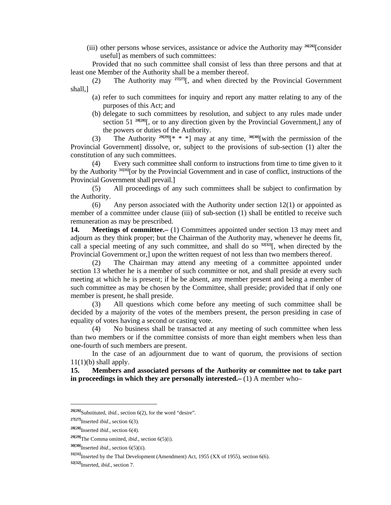(iii) other persons whose services, assistance or advice the Authority may **26[26]**[consider useful] as members of such committees:

 Provided that no such committee shall consist of less than three persons and that at least one Member of the Authority shall be a member thereof.

 (2) The Authority may **27[27]**[, and when directed by the Provincial Government shall,]

- (a) refer to such committees for inquiry and report any matter relating to any of the purposes of this Act; and
- (b) delegate to such committees by resolution, and subject to any rules made under section 51<sup>28[28]</sup>[, or to any direction given by the Provincial Government,] any of the powers or duties of the Authority.

 (3) The Authority **29[29]**[\* \* \*] may at any time, **30[30]**[with the permission of the Provincial Government] dissolve, or, subject to the provisions of sub-section (1) alter the constitution of any such committees.

 (4) Every such committee shall conform to instructions from time to time given to it by the Authority **31[31]**[or by the Provincial Government and in case of conflict, instructions of the Provincial Government shall prevail.]

 (5) All proceedings of any such committees shall be subject to confirmation by the Authority.

 (6) Any person associated with the Authority under section 12(1) or appointed as member of a committee under clause (iii) of sub-section (1) shall be entitled to receive such remuneration as may be prescribed.

**14. Meetings of committee.–** (1) Committees appointed under section 13 may meet and adjourn as they think proper; but the Chairman of the Authority may, whenever he deems fit, call a special meeting of any such committee, and shall do so **32[32]**[, when directed by the Provincial Government or,] upon the written request of not less than two members thereof.

 (2) The Chairman may attend any meeting of a committee appointed under section 13 whether he is a member of such committee or not, and shall preside at every such meeting at which he is present; if he be absent, any member present and being a member of such committee as may be chosen by the Committee, shall preside; provided that if only one member is present, he shall preside.

 (3) All questions which come before any meeting of such committee shall be decided by a majority of the votes of the members present, the person presiding in case of equality of votes having a second or casting vote.

 (4) No business shall be transacted at any meeting of such committee when less than two members or if the committee consists of more than eight members when less than one-fourth of such members are present.

 In the case of an adjournment due to want of quorum, the provisions of section  $11(1)(b)$  shall apply.

**15. Members and associated persons of the Authority or committee not to take part in proceedings in which they are personally interested.–** (1) A member who–

**<sup>26[26]</sup>**Substituted, *ibid.,* section 6(2), for the word "desire".

**<sup>27[27]</sup>**Inserted *ibid*., section 6(3).

**<sup>28[28]</sup>**Inserted *ibid.*, section 6(4).

**<sup>29[29]</sup>**The Comma omitted, *ibid*., section 6(5)(i).

**<sup>30[30]</sup>**Inserted *ibid.*, section 6(5)(ii).

**<sup>31[31]</sup>**Inserted by the Thal Development (Amendment) Act, 1955 (XX of 1955), section 6(6).

**<sup>32[32]</sup>**Inserted, *ibid.*, section 7.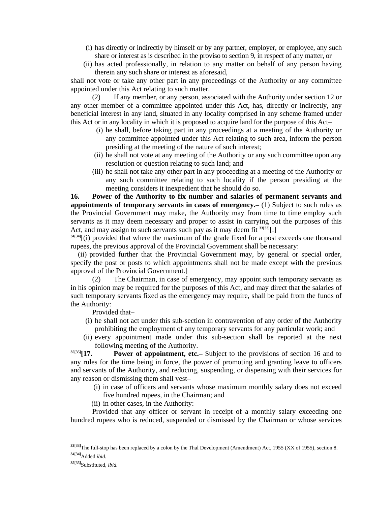- (i) has directly or indirectly by himself or by any partner, employer, or employee, any such share or interest as is described in the proviso to section 9, in respect of any matter, or
- (ii) has acted professionally, in relation to any matter on behalf of any person having therein any such share or interest as aforesaid,

shall not vote or take any other part in any proceedings of the Authority or any committee appointed under this Act relating to such matter.

 (2) If any member, or any person, associated with the Authority under section 12 or any other member of a committee appointed under this Act, has, directly or indirectly, any beneficial interest in any land, situated in any locality comprised in any scheme framed under this Act or in any locality in which it is proposed to acquire land for the purpose of this Act–

- (i) he shall, before taking part in any proceedings at a meeting of the Authority or any committee appointed under this Act relating to such area, inform the person presiding at the meeting of the nature of such interest;
- (ii) he shall not vote at any meeting of the Authority or any such committee upon any resolution or question relating to such land; and
- (iii) he shall not take any other part in any proceeding at a meeting of the Authority or any such committee relating to such locality if the person presiding at the meeting considers it inexpedient that he should do so.

**16. Power of the Authority to fix number and salaries of permanent servants and appointments of temporary servants in cases of emergency.–** (1) Subject to such rules as the Provincial Government may make, the Authority may from time to time employ such servants as it may deem necessary and proper to assist in carrying out the purposes of this Act, and may assign to such servants such pay as it may deem fit **33[33]**[:]

**34[34]**[(i) provided that where the maximum of the grade fixed for a post exceeds one thousand rupees, the previous approval of the Provincial Government shall be necessary:

 (ii) provided further that the Provincial Government may, by general or special order, specify the post or posts to which appointments shall not be made except with the previous approval of the Provincial Government.]

The Chairman, in case of emergency, may appoint such temporary servants as in his opinion may be required for the purposes of this Act, and may direct that the salaries of such temporary servants fixed as the emergency may require, shall be paid from the funds of the Authority:

Provided that–

- (i) he shall not act under this sub-section in contravention of any order of the Authority prohibiting the employment of any temporary servants for any particular work; and
- (ii) every appointment made under this sub-section shall be reported at the next following meeting of the Authority.

**35[35][17. Power of appointment, etc.–** Subject to the provisions of section 16 and to any rules for the time being in force, the power of promoting and granting leave to officers and servants of the Authority, and reducing, suspending, or dispensing with their services for any reason or dismissing them shall vest–

- (i) in case of officers and servants whose maximum monthly salary does not exceed five hundred rupees, in the Chairman; and
- (ii) in other cases, in the Authority:

 Provided that any officer or servant in receipt of a monthly salary exceeding one hundred rupees who is reduced, suspended or dismissed by the Chairman or whose services

**<sup>33[33]</sup>**The full-stop has been replaced by a colon by the Thal Development (Amendment) Act, 1955 (XX of 1955), section 8. **34[34]**Added *ibid.*

**<sup>35[35]</sup>**Substituted, *ibid.*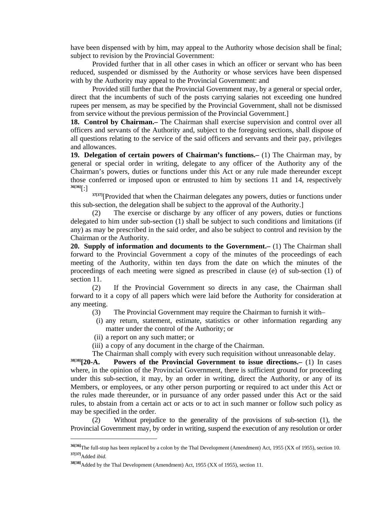have been dispensed with by him, may appeal to the Authority whose decision shall be final; subject to revision by the Provincial Government:

 Provided further that in all other cases in which an officer or servant who has been reduced, suspended or dismissed by the Authority or whose services have been dispensed with by the Authority may appeal to the Provincial Government: and

 Provided still further that the Provincial Government may, by a general or special order, direct that the incumbents of such of the posts carrying salaries not exceeding one hundred rupees per mensem, as may be specified by the Provincial Government, shall not be dismissed from service without the previous permission of the Provincial Government.]

**18. Control by Chairman.–** The Chairman shall exercise supervision and control over all officers and servants of the Authority and, subject to the foregoing sections, shall dispose of all questions relating to the service of the said officers and servants and their pay, privileges and allowances.

**19. Delegation of certain powers of Chairman's functions.–** (1) The Chairman may, by general or special order in writing, delegate to any officer of the Authority any of the Chairman's powers, duties or functions under this Act or any rule made thereunder except those conferred or imposed upon or entrusted to him by sections 11 and 14, respectively **36[36]**[:]

**37[37]**[Provided that when the Chairman delegates any powers, duties or functions under this sub-section, the delegation shall be subject to the approval of the Authority.]

 (2) The exercise or discharge by any officer of any powers, duties or functions delegated to him under sub-section (1) shall be subject to such conditions and limitations (if any) as may be prescribed in the said order, and also be subject to control and revision by the Chairman or the Authority.

**20. Supply of information and documents to the Government.–** (1) The Chairman shall forward to the Provincial Government a copy of the minutes of the proceedings of each meeting of the Authority, within ten days from the date on which the minutes of the proceedings of each meeting were signed as prescribed in clause (e) of sub-section (1) of section 11.

 (2) If the Provincial Government so directs in any case, the Chairman shall forward to it a copy of all papers which were laid before the Authority for consideration at any meeting.

- (3) The Provincial Government may require the Chairman to furnish it with–
- (i) any return, statement, estimate, statistics or other information regarding any matter under the control of the Authority; or
- (ii) a report on any such matter; or

(iii) a copy of any document in the charge of the Chairman.

The Chairman shall comply with every such requisition without unreasonable delay.<br><sup>38[38]</sup>[20-A. Powers of the Provincial Government to issue directions.- (1) In case **Powers of the Provincial Government to issue directions.**— (1) In cases where, in the opinion of the Provincial Government, there is sufficient ground for proceeding under this sub-section, it may, by an order in writing, direct the Authority, or any of its Members, or employees, or any other person purporting or required to act under this Act or the rules made thereunder, or in pursuance of any order passed under this Act or the said rules, to abstain from a certain act or acts or to act in such manner or follow such policy as may be specified in the order.

 (2) Without prejudice to the generality of the provisions of sub-section (1), the Provincial Government may, by order in writing, suspend the execution of any resolution or order

**<sup>36[36]</sup>**The full-stop has been replaced by a colon by the Thal Development (Amendment) Act, 1955 (XX of 1955), section 10. **37[37]**Added *ibid.*

**<sup>38[38]</sup>**Added by the Thal Development (Amendment) Act, 1955 (XX of 1955), section 11.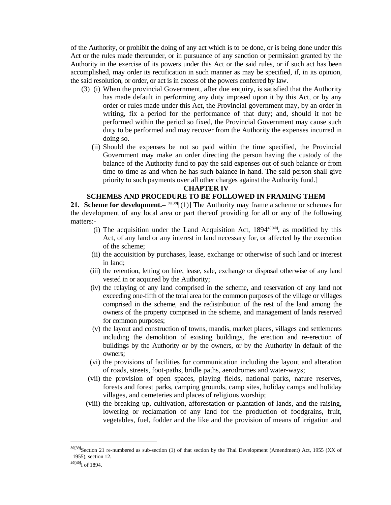of the Authority, or prohibit the doing of any act which is to be done, or is being done under this Act or the rules made thereunder, or in pursuance of any sanction or permission granted by the Authority in the exercise of its powers under this Act or the said rules, or if such act has been accomplished, may order its rectification in such manner as may be specified, if, in its opinion, the said resolution, or order, or act is in excess of the powers conferred by law.

- (3) (i) When the provincial Government, after due enquiry, is satisfied that the Authority has made default in performing any duty imposed upon it by this Act, or by any order or rules made under this Act, the Provincial government may, by an order in writing, fix a period for the performance of that duty; and, should it not be performed within the period so fixed, the Provincial Government may cause such duty to be performed and may recover from the Authority the expenses incurred in doing so.
	- (ii) Should the expenses be not so paid within the time specified, the Provincial Government may make an order directing the person having the custody of the balance of the Authority fund to pay the said expenses out of such balance or from time to time as and when he has such balance in hand. The said person shall give priority to such payments over all other charges against the Authority fund.]

### **CHAPTER IV**

### **SCHEMES AND PROCEDURE TO BE FOLLOWED IN FRAMING THEM**

**21. Scheme for development.– 39[39]**[(1)] The Authority may frame a scheme or schemes for the development of any local area or part thereof providing for all or any of the following matters:-

- (i) The acquisition under the Land Acquisition Act, 1894**40[40]**, as modified by this Act, of any land or any interest in land necessary for, or affected by the execution of the scheme;
- (ii) the acquisition by purchases, lease, exchange or otherwise of such land or interest in land;
- (iii) the retention, letting on hire, lease, sale, exchange or disposal otherwise of any land vested in or acquired by the Authority;
- (iv) the relaying of any land comprised in the scheme, and reservation of any land not exceeding one-fifth of the total area for the common purposes of the village or villages comprised in the scheme, and the redistribution of the rest of the land among the owners of the property comprised in the scheme, and management of lands reserved for common purposes;
- (v) the layout and construction of towns, mandis, market places, villages and settlements including the demolition of existing buildings, the erection and re-erection of buildings by the Authority or by the owners, or by the Authority in default of the owners;
- (vi) the provisions of facilities for communication including the layout and alteration of roads, streets, foot-paths, bridle paths, aerodromes and water-ways;
- (vii) the provision of open spaces, playing fields, national parks, nature reserves, forests and forest parks, camping grounds, camp sites, holiday camps and holiday villages, and cemeteries and places of religious worship;
- (viii) the breaking up, cultivation, afforestation or plantation of lands, and the raising, lowering or reclamation of any land for the production of foodgrains, fruit, vegetables, fuel, fodder and the like and the provision of means of irrigation and

**<sup>39[39]</sup>**Section 21 re-numbered as sub-section (1) of that section by the Thal Development (Amendment) Act, 1955 (XX of 1955), section 12.

**<sup>40[40]</sup>**I of 1894.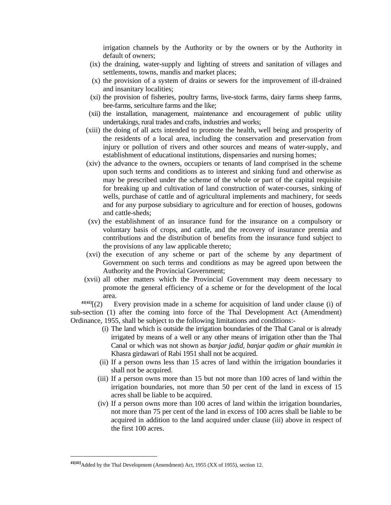irrigation channels by the Authority or by the owners or by the Authority in default of owners;

- (ix) the draining, water-supply and lighting of streets and sanitation of villages and settlements, towns, mandis and market places;
- (x) the provision of a system of drains or sewers for the improvement of ill-drained and insanitary localities;
- (xi) the provision of fisheries, poultry farms, live-stock farms, dairy farms sheep farms, bee-farms, sericulture farms and the like;
- (xii) the installation, management, maintenance and encouragement of public utility undertakings, rural trades and crafts, industries and works;
- (xiii) the doing of all acts intended to promote the health, well being and prosperity of the residents of a local area, including the conservation and preservation from injury or pollution of rivers and other sources and means of water-supply, and establishment of educational institutions, dispensaries and nursing homes;
- (xiv) the advance to the owners, occupiers or tenants of land comprised in the scheme upon such terms and conditions as to interest and sinking fund and otherwise as may be prescribed under the scheme of the whole or part of the capital requisite for breaking up and cultivation of land construction of water-courses, sinking of wells, purchase of cattle and of agricultural implements and machinery, for seeds and for any purpose subsidiary to agriculture and for erection of houses, godowns and cattle-sheds;
- (xv) the establishment of an insurance fund for the insurance on a compulsory or voluntary basis of crops, and cattle, and the recovery of insurance premia and contributions and the distribution of benefits from the insurance fund subject to the provisions of any law applicable thereto;
- (xvi) the execution of any scheme or part of the scheme by any department of Government on such terms and conditions as may be agreed upon between the Authority and the Provincial Government;
- (xvii) all other matters which the Provincial Government may deem necessary to promote the general efficiency of a scheme or for the development of the local area.<br><sup>41[41]</sup>[(2) E

Every provision made in a scheme for acquisition of land under clause (i) of sub-section (1) after the coming into force of the Thal Development Act (Amendment) Ordinance, 1955, shall be subject to the following limitations and conditions:-

- (i) The land which is outside the irrigation boundaries of the Thal Canal or is already irrigated by means of a well or any other means of irrigation other than the Thal Canal or which was not shown as *banjar jadid, banjar qadim or ghair mumkin in*  Khasra girdawari of Rabi 1951 shall not be acquired.
- (ii) If a person owns less than 15 acres of land within the irrigation boundaries it shall not be acquired.
- (iii) If a person owns more than 15 but not more than 100 acres of land within the irrigation boundaries, not more than 50 per cent of the land in excess of 15 acres shall be liable to be acquired.
- (iv) If a person owns more than 100 acres of land within the irrigation boundaries, not more than 75 per cent of the land in excess of 100 acres shall be liable to be acquired in addition to the land acquired under clause (iii) above in respect of the first 100 acres.

**<sup>41[41]</sup>**Added by the Thal Development (Amendment) Act, 1955 (XX of 1955), section 12.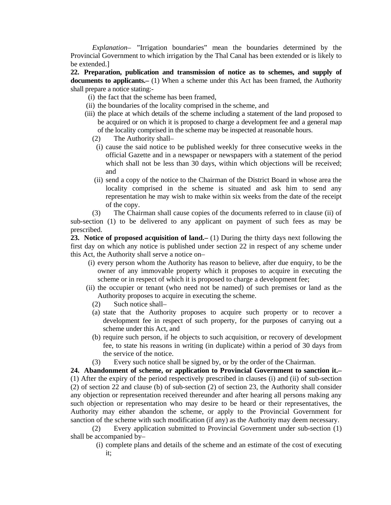*Explanation– "*Irrigation boundaries" mean the boundaries determined by the Provincial Government to which irrigation by the Thal Canal has been extended or is likely to be extended.]

**22. Preparation, publication and transmission of notice as to schemes, and supply of documents to applicants.–** (1) When a scheme under this Act has been framed, the Authority shall prepare a notice stating:-

- (i) the fact that the scheme has been framed,
- (ii) the boundaries of the locality comprised in the scheme, and
- (iii) the place at which details of the scheme including a statement of the land proposed to be acquired or on which it is proposed to charge a development fee and a general map of the locality comprised in the scheme may be inspected at reasonable hours.
	- (2) The Authority shall–
	- (i) cause the said notice to be published weekly for three consecutive weeks in the official Gazette and in a newspaper or newspapers with a statement of the period which shall not be less than 30 days, within which objections will be received; and
	- (ii) send a copy of the notice to the Chairman of the District Board in whose area the locality comprised in the scheme is situated and ask him to send any representation he may wish to make within six weeks from the date of the receipt of the copy.

(3) The Chairman shall cause copies of the documents referred to in clause (ii) of

sub-section (1) to be delivered to any applicant on payment of such fees as may be prescribed.

**23. Notice of proposed acquisition of land.–** (1) During the thirty days next following the first day on which any notice is published under section 22 in respect of any scheme under this Act, the Authority shall serve a notice on–

- (i) every person whom the Authority has reason to believe, after due enquiry, to be the owner of any immovable property which it proposes to acquire in executing the scheme or in respect of which it is proposed to charge a development fee;
- (ii) the occupier or tenant (who need not be named) of such premises or land as the Authority proposes to acquire in executing the scheme.
	- (2) Such notice shall–
	- (a) state that the Authority proposes to acquire such property or to recover a development fee in respect of such property, for the purposes of carrying out a scheme under this Act, and
	- (b) require such person, if he objects to such acquisition, or recovery of development fee, to state his reasons in writing (in duplicate) within a period of 30 days from the service of the notice.
	- (3) Every such notice shall be signed by, or by the order of the Chairman.

**24. Abandonment of scheme, or application to Provincial Government to sanction it.–** (1) After the expiry of the period respectively prescribed in clauses (i) and (ii) of sub-section (2) of section 22 and clause (b) of sub-section (2) of section 23, the Authority shall consider any objection or representation received thereunder and after hearing all persons making any such objection or representation who may desire to be heard or their representatives, the Authority may either abandon the scheme, or apply to the Provincial Government for sanction of the scheme with such modification (if any) as the Authority may deem necessary.

 (2) Every application submitted to Provincial Government under sub-section (1) shall be accompanied by–

 (i) complete plans and details of the scheme and an estimate of the cost of executing it;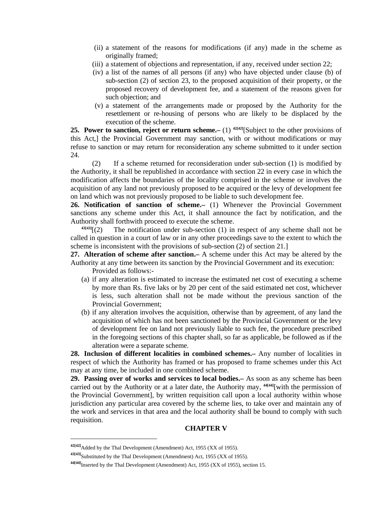- (ii) a statement of the reasons for modifications (if any) made in the scheme as originally framed;
- (iii) a statement of objections and representation, if any, received under section 22;
- (iv) a list of the names of all persons (if any) who have objected under clause (b) of sub-section (2) of section 23, to the proposed acquisition of their property, or the proposed recovery of development fee, and a statement of the reasons given for such objection; and
- (v) a statement of the arrangements made or proposed by the Authority for the resettlement or re-housing of persons who are likely to be displaced by the execution of the scheme.

**25. Power to sanction, reject or return scheme.–** (1) **42[42]**[Subject to the other provisions of this Act,] the Provincial Government may sanction, with or without modifications or may refuse to sanction or may return for reconsideration any scheme submitted to it under section 24.

 (2) If a scheme returned for reconsideration under sub-section (1) is modified by the Authority, it shall be republished in accordance with section 22 in every case in which the modification affects the boundaries of the locality comprised in the scheme or involves the acquisition of any land not previously proposed to be acquired or the levy of development fee on land which was not previously proposed to be liable to such development fee.

**26. Notification of sanction of scheme.–** (1) Whenever the Provincial Government sanctions any scheme under this Act, it shall announce the fact by notification, and the Authority shall forthwith proceed to execute the scheme.

 $43[43]$ <sup>[(2)</sup> The notification under sub-section (1) in respect of any scheme shall not be called in question in a court of law or in any other proceedings save to the extent to which the scheme is inconsistent with the provisions of sub-section (2) of section 21.]

**27. Alteration of scheme after sanction.–** A scheme under this Act may be altered by the Authority at any time between its sanction by the Provincial Government and its execution: Provided as follows:-

- (a) if any alteration is estimated to increase the estimated net cost of executing a scheme by more than Rs. five laks or by 20 per cent of the said estimated net cost, whichever is less, such alteration shall not be made without the previous sanction of the Provincial Government;
- (b) if any alteration involves the acquisition, otherwise than by agreement, of any land the acquisition of which has not been sanctioned by the Provincial Government or the levy of development fee on land not previously liable to such fee, the procedure prescribed in the foregoing sections of this chapter shall, so far as applicable, be followed as if the alteration were a separate scheme.

**28. Inclusion of different localities in combined schemes.–** Any number of localities in respect of which the Authority has framed or has proposed to frame schemes under this Act may at any time, be included in one combined scheme.

**29. Passing over of works and services to local bodies.–** As soon as any scheme has been carried out by the Authority or at a later date, the Authority may, **44[44]**[with the permission of the Provincial Government], by written requisition call upon a local authority within whose jurisdiction any particular area covered by the scheme lies, to take over and maintain any of the work and services in that area and the local authority shall be bound to comply with such requisition.

# **CHAPTER V**

**<sup>42[42]</sup>**Added by the Thal Development (Amendment) Act, 1955 (XX of 1955).

**<sup>43[43]</sup>**Substituted by the Thal Development (Amendment) Act, 1955 (XX of 1955).

**<sup>44[44]</sup>**Inserted by the Thal Development (Amendment) Act, 1955 (XX of 1955), section 15.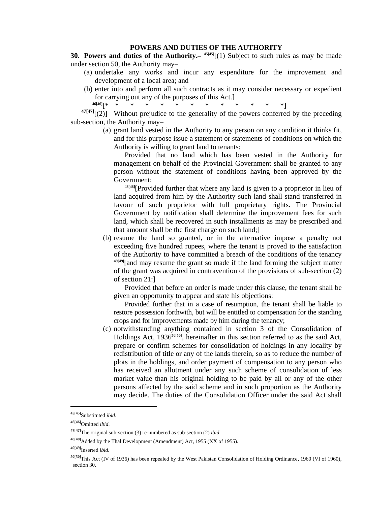#### **POWERS AND DUTIES OF THE AUTHORITY**

**30. Powers and duties of the Authority.–**  $45[45]$ **[(1) Subject to such rules as may be made** under section 50, the Authority may–

- (a) undertake any works and incur any expenditure for the improvement and development of a local area; and
- (b) enter into and perform all such contracts as it may consider necessary or expedient for carrying out any of the purposes of this Act.]

**46[46]**[\* \* \* \* \* \* \* \* \* \* \* \* \*]  $47[47]$ [(2)] Without prejudice to the generality of the powers conferred by the preceding

sub-section, the Authority may–

 (a) grant land vested in the Authority to any person on any condition it thinks fit, and for this purpose issue a statement or statements of conditions on which the Authority is willing to grant land to tenants:

 Provided that no land which has been vested in the Authority for management on behalf of the Provincial Government shall be granted to any person without the statement of conditions having been approved by the Government:

 **48[48]**[Provided further that where any land is given to a proprietor in lieu of land acquired from him by the Authority such land shall stand transferred in favour of such proprietor with full proprietary rights. The Provincial Government by notification shall determine the improvement fees for such land, which shall be recovered in such installments as may be prescribed and that amount shall be the first charge on such land;]

 (b) resume the land so granted, or in the alternative impose a penalty not exceeding five hundred rupees, where the tenant is proved to the satisfaction of the Authority to have committed a breach of the conditions of the tenancy **49[49]**[and may resume the grant so made if the land forming the subject matter of the grant was acquired in contravention of the provisions of sub-section (2) of section 21:]

 Provided that before an order is made under this clause, the tenant shall be given an opportunity to appear and state his objections:

 Provided further that in a case of resumption, the tenant shall be liable to restore possession forthwith, but will be entitled to compensation for the standing crops and for improvements made by him during the tenancy;

 (c) notwithstanding anything contained in section 3 of the Consolidation of Holdings Act, 1936**50[50]**, hereinafter in this section referred to as the said Act, prepare or confirm schemes for consolidation of holdings in any locality by redistribution of title or any of the lands therein, so as to reduce the number of plots in the holdings, and order payment of compensation to any person who has received an allotment under any such scheme of consolidation of less market value than his original holding to be paid by all or any of the other persons affected by the said scheme and in such proportion as the Authority may decide. The duties of the Consolidation Officer under the said Act shall

**<sup>45[45]</sup>**Substituted *ibid.*

**<sup>46[46]</sup>**Omitted *ibid*.

**<sup>47[47]</sup>**The original sub-section (3) re-numbered as sub-section (2) *ibid.*

**<sup>48[48]</sup>**Added by the Thal Development (Amendment) Act, 1955 (XX of 1955).

**<sup>49[49]</sup>**Inserted *ibid.*

**<sup>50[50]</sup>**This Act (IV of 1936) has been repealed by the West Pakistan Consolidation of Holding Ordinance, 1960 (VI of 1960), section 30.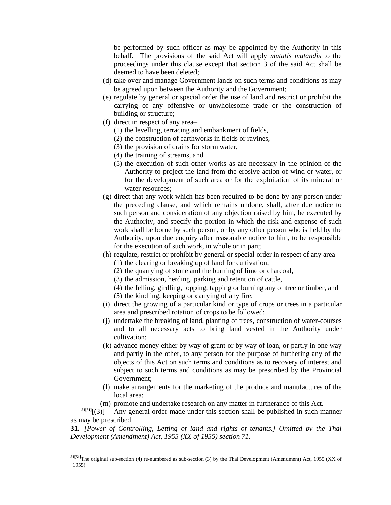be performed by such officer as may be appointed by the Authority in this behalf. The provisions of the said Act will apply *mutatis mutandis* to the proceedings under this clause except that section 3 of the said Act shall be deemed to have been deleted;

- (d) take over and manage Government lands on such terms and conditions as may be agreed upon between the Authority and the Government;
- (e) regulate by general or special order the use of land and restrict or prohibit the carrying of any offensive or unwholesome trade or the construction of building or structure;
- (f) direct in respect of any area–
	- (1) the levelling, terracing and embankment of fields,
	- (2) the construction of earthworks in fields or ravines,
	- (3) the provision of drains for storm water,
	- (4) the training of streams, and
	- (5) the execution of such other works as are necessary in the opinion of the Authority to project the land from the erosive action of wind or water, or for the development of such area or for the exploitation of its mineral or water resources;
- (g) direct that any work which has been required to be done by any person under the preceding clause, and which remains undone, shall, after due notice to such person and consideration of any objection raised by him, be executed by the Authority, and specify the portion in which the risk and expense of such work shall be borne by such person, or by any other person who is held by the Authority, upon due enquiry after reasonable notice to him, to be responsible for the execution of such work, in whole or in part;
- (h) regulate, restrict or prohibit by general or special order in respect of any area– (1) the clearing or breaking up of land for cultivation,
	-
	- (2) the quarrying of stone and the burning of lime or charcoal,
	- (3) the admission, herding, parking and retention of cattle,
	- (4) the felling, girdling, lopping, tapping or burning any of tree or timber, and (5) the kindling, keeping or carrying of any fire;
- (i) direct the growing of a particular kind or type of crops or trees in a particular area and prescribed rotation of crops to be followed;
- (j) undertake the breaking of land, planting of trees, construction of water-courses and to all necessary acts to bring land vested in the Authority under cultivation;
- (k) advance money either by way of grant or by way of loan, or partly in one way and partly in the other, to any person for the purpose of furthering any of the objects of this Act on such terms and conditions as to recovery of interest and subject to such terms and conditions as may be prescribed by the Provincial Government;
- (l) make arrangements for the marketing of the produce and manufactures of the local area;
- 

(m) promote and undertake research on any matter in furtherance of this Act.<br> $\frac{\text{St}[51]}{(3)}$  Anv general order made under this section shall be published in such m Any general order made under this section shall be published in such manner as may be prescribed.

**31.** *[Power of Controlling, Letting of land and rights of tenants.] Omitted by the Thal Development (Amendment) Act, 1955 (XX of 1955) section 71.*

**<sup>51[51]</sup>**The original sub-section (4) re-numbered as sub-section (3) by the Thal Development (Amendment) Act, 1955 (XX of 1955).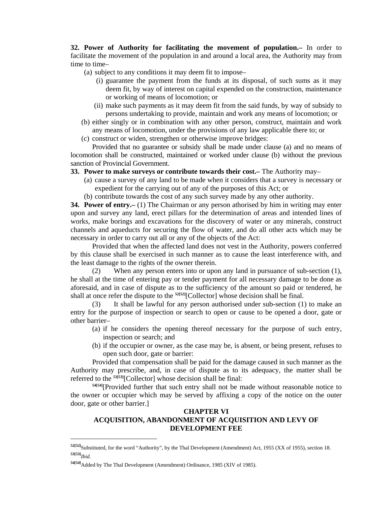**32. Power of Authority for facilitating the movement of population.–** In order to facilitate the movement of the population in and around a local area, the Authority may from time to time–

(a) subject to any conditions it may deem fit to impose–

- (i) guarantee the payment from the funds at its disposal, of such sums as it may deem fit, by way of interest on capital expended on the construction, maintenance or working of means of locomotion; or
- (ii) make such payments as it may deem fit from the said funds, by way of subsidy to persons undertaking to provide, maintain and work any means of locomotion; or
- (b) either singly or in combination with any other person, construct, maintain and work any means of locomotion, under the provisions of any law applicable there to; or
- (c) construct or widen, strengthen or otherwise improve bridges:

 Provided that no guarantee or subsidy shall be made under clause (a) and no means of locomotion shall be constructed, maintained or worked under clause (b) without the previous sanction of Provincial Government.

**33. Power to make surveys or contribute towards their cost.–** The Authority may–

- (a) cause a survey of any land to be made when it considers that a survey is necessary or expedient for the carrying out of any of the purposes of this Act; or
- (b) contribute towards the cost of any such survey made by any other authority.

**34. Power of entry.–** (1) The Chairman or any person athorised by him in writing may enter upon and survey any land, erect pillars for the determination of areas and intended lines of works, make borings and excavations for the discovery of water or any minerals, construct channels and aqueducts for securing the flow of water, and do all other acts which may be necessary in order to carry out all or any of the objects of the Act:

 Provided that when the affected land does not vest in the Authority, powers conferred by this clause shall be exercised in such manner as to cause the least interference with, and the least damage to the rights of the owner therein.

 (2) When any person enters into or upon any land in pursuance of sub-section (1), he shall at the time of entering pay or tender payment for all necessary damage to be done as aforesaid, and in case of dispute as to the sufficiency of the amount so paid or tendered, he shall at once refer the dispute to the <sup>52[52]</sup>[Collector] whose decision shall be final.

 (3) It shall be lawful for any person authorised under sub-section (1) to make an entry for the purpose of inspection or search to open or cause to be opened a door, gate or other barrier–

- (a) if he considers the opening thereof necessary for the purpose of such entry, inspection or search; and
- (b) if the occupier or owner, as the case may be, is absent, or being present, refuses to open such door, gate or barrier:

 Provided that compensation shall be paid for the damage caused in such manner as the Authority may prescribe, and, in case of dispute as to its adequacy, the matter shall be referred to the **53[53]**[Collector] whose decision shall be final:

**54[54]**[Provided further that such entry shall not be made without reasonable notice to the owner or occupier which may be served by affixing a copy of the notice on the outer door, gate or other barrier.]

# **CHAPTER VI ACQUISITION, ABANDONMENT OF ACQUISITION AND LEVY OF DEVELOPMENT FEE**

**<sup>52[52]</sup>**Substituted, for the word "Authority", by the Thal Development (Amendment) Act, 1955 (XX of 1955), section 18. **53[53]***Ibid.*

**<sup>54[54]</sup>**Added by The Thal Development (Amendment) Ordinance, 1985 (XIV of 1985).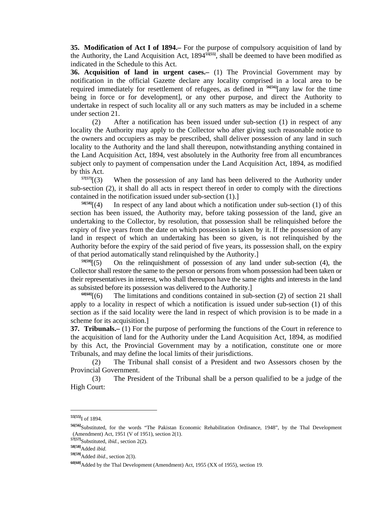**35. Modification of Act I of 1894.–** For the purpose of compulsory acquisition of land by the Authority, the Land Acquisition Act, 1894**55[55]**, shall be deemed to have been modified as indicated in the Schedule to this Act.

**36. Acquisition of land in urgent cases.–** (1) The Provincial Government may by notification in the official Gazette declare any locality comprised in a local area to be required immediately for resettlement of refugees, as defined in **56[56]**[any law for the time being in force or for development], or any other purpose, and direct the Authority to undertake in respect of such locality all or any such matters as may be included in a scheme under section 21.

 (2) After a notification has been issued under sub-section (1) in respect of any locality the Authority may apply to the Collector who after giving such reasonable notice to the owners and occupiers as may be prescribed, shall deliver possession of any land in such locality to the Authority and the land shall thereupon, notwithstanding anything contained in the Land Acquisition Act, 1894, vest absolutely in the Authority free from all encumbrances subject only to payment of compensation under the Land Acquisition Act, 1894, as modified by this Act.<br> $^{57[57]}[(3)$ 

When the possession of any land has been delivered to the Authority under sub-section (2), it shall do all acts in respect thereof in order to comply with the directions contained in the notification issued under sub-section (1).]

 $58[58]$ <sup>[(4)</sup> In respect of any land about which a notification under sub-section (1) of this section has been issued, the Authority may, before taking possession of the land, give an undertaking to the Collector, by resolution, that possession shall be relinquished before the expiry of five years from the date on which possession is taken by it. If the possession of any land in respect of which an undertaking has been so given, is not relinquished by the Authority before the expiry of the said period of five years, its possession shall, on the expiry of that period automatically stand relinquished by the Authority.]

**59[59]**[(5) On the relinquishment of possession of any land under sub-section (4), the Collector shall restore the same to the person or persons from whom possession had been taken or their representatives in interest, who shall thereupon have the same rights and interests in the land as subsisted before its possession was delivered to the Authority.]<br><sup>60[60]</sup> $(6)$  The limitations and conditions contained in sub-

The limitations and conditions contained in sub-section (2) of section 21 shall apply to a locality in respect of which a notification is issued under sub-section (1) of this section as if the said locality were the land in respect of which provision is to be made in a scheme for its acquisition.]

**37. Tribunals.–** (1) For the purpose of performing the functions of the Court in reference to the acquisition of land for the Authority under the Land Acquisition Act, 1894, as modified by this Act, the Provincial Government may by a notification, constitute one or more Tribunals, and may define the local limits of their jurisdictions.

 (2) The Tribunal shall consist of a President and two Assessors chosen by the Provincial Government.

 (3) The President of the Tribunal shall be a person qualified to be a judge of the High Court:

- **57[57]**Substituted, *ibid.*, section 2(2).
- **58[58]**Added *ibid.*

**<sup>55[55]</sup>**I of 1894.

**<sup>56[56]</sup>**Substituted, for the words "The Pakistan Economic Rehabilitation Ordinance, 1948", by the Thal Development (Amendment) Act, 1951 (V of 1951), section 2(1).

**<sup>59[59]</sup>**Added *ibid*., section 2(3).

**<sup>60[60]</sup>**Added by the Thal Development (Amendment) Act, 1955 (XX of 1955), section 19.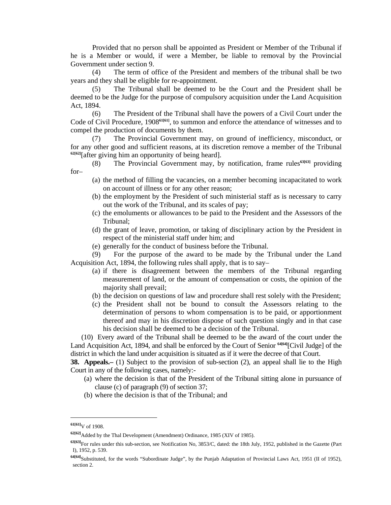Provided that no person shall be appointed as President or Member of the Tribunal if he is a Member or would, if were a Member, be liable to removal by the Provincial Government under section 9.

 (4) The term of office of the President and members of the tribunal shall be two years and they shall be eligible for re-appointment.

The Tribunal shall be deemed to be the Court and the President shall be deemed to be the Judge for the purpose of compulsory acquisition under the Land Acquisition Act, 1894.

 (6) The President of the Tribunal shall have the powers of a Civil Court under the Code of Civil Procedure, 1908**61[61]**, to summon and enforce the attendance of witnesses and to compel the production of documents by them.

 (7) The Provincial Government may, on ground of inefficiency, misconduct, or for any other good and sufficient reasons, at its discretion remove a member of the Tribunal **62[62]**[after giving him an opportunity of being heard].

 (8) The Provincial Government may, by notification, frame rules**63[63]** providing for–

- (a) the method of filling the vacancies, on a member becoming incapacitated to work on account of illness or for any other reason;
- (b) the employment by the President of such ministerial staff as is necessary to carry out the work of the Tribunal, and its scales of pay;
- (c) the emoluments or allowances to be paid to the President and the Assessors of the Tribunal;
- (d) the grant of leave, promotion, or taking of disciplinary action by the President in respect of the ministerial staff under him; and
- (e) generally for the conduct of business before the Tribunal.

 (9) For the purpose of the award to be made by the Tribunal under the Land Acquisition Act, 1894, the following rules shall apply, that is to say–

- (a) if there is disagreement between the members of the Tribunal regarding measurement of land, or the amount of compensation or costs, the opinion of the majority shall prevail;
- (b) the decision on questions of law and procedure shall rest solely with the President;
- (c) the President shall not be bound to consult the Assessors relating to the determination of persons to whom compensation is to be paid, or apportionment thereof and may in his discretion dispose of such question singly and in that case his decision shall be deemed to be a decision of the Tribunal.

 (10) Every award of the Tribunal shall be deemed to be the award of the court under the Land Acquisition Act, 1894, and shall be enforced by the Court of Senior **64[64]**[Civil Judge] of the district in which the land under acquisition is situated as if it were the decree of that Court.

**38. Appeals.**– (1) Subject to the provision of sub-section (2), an appeal shall lie to the High Court in any of the following cases, namely:-

- (a) where the decision is that of the President of the Tribunal sitting alone in pursuance of clause (c) of paragraph (9) of section 37;
- (b) where the decision is that of the Tribunal; and

**<sup>61[61]</sup>**V of 1908.

**<sup>62[62]</sup>**Added by the Thal Development (Amendment) Ordinance, 1985 (XIV of 1985).

**<sup>63[63]</sup>**For rules under this sub-section, see Notification No, 3853/C, dated: the 18th July, 1952, published in the Gazette (Part I), 1952, p. 539.

**<sup>64[64]</sup>**Substituted, for the words "Subordinate Judge", by the Punjab Adaptation of Provincial Laws Act, 1951 (II of 1952), section 2.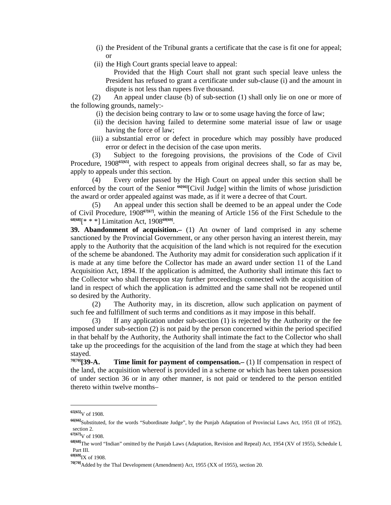- (i) the President of the Tribunal grants a certificate that the case is fit one for appeal; or
- (ii) the High Court grants special leave to appeal:

 Provided that the High Court shall not grant such special leave unless the President has refused to grant a certificate under sub-clause (i) and the amount in dispute is not less than rupees five thousand.

 (2) An appeal under clause (b) of sub-section (1) shall only lie on one or more of the following grounds, namely:-

- (i) the decision being contrary to law or to some usage having the force of law;
- (ii) the decision having failed to determine some material issue of law or usage having the force of law;
- (iii) a substantial error or defect in procedure which may possibly have produced error or defect in the decision of the case upon merits.

 (3) Subject to the foregoing provisions, the provisions of the Code of Civil Procedure, 1908<sup>65[65]</sup>, with respect to appeals from original decrees shall, so far as may be, apply to appeals under this section.

 (4) Every order passed by the High Court on appeal under this section shall be enforced by the court of the Senior **66[66]**[Civil Judge] within the limits of whose jurisdiction the award or order appealed against was made, as if it were a decree of that Court.

 (5) An appeal under this section shall be deemed to be an appeal under the Code of Civil Procedure, 1908**67[67]**, within the meaning of Article 156 of the First Schedule to the **68[68]**[\* \* \*] Limitation Act, 1908**69[69]**.

**39. Abandonment of acquisition.–** (1) An owner of land comprised in any scheme sanctioned by the Provincial Government, or any other person having an interest therein, may apply to the Authority that the acquisition of the land which is not required for the execution of the scheme be abandoned. The Authority may admit for consideration such application if it is made at any time before the Collector has made an award under section 11 of the Land Acquisition Act, 1894. If the application is admitted, the Authority shall intimate this fact to the Collector who shall thereupon stay further proceedings connected with the acquisition of land in respect of which the application is admitted and the same shall not be reopened until so desired by the Authority.

 (2) The Authority may, in its discretion, allow such application on payment of such fee and fulfillment of such terms and conditions as it may impose in this behalf.

 (3) If any application under sub-section (1) is rejected by the Authority or the fee imposed under sub-section (2) is not paid by the person concerned within the period specified in that behalf by the Authority, the Authority shall intimate the fact to the Collector who shall take up the proceedings for the acquisition of the land from the stage at which they had been stayed.<br><sup>70[70]</sup>[**39-A.** 

**Time limit for payment of compensation.–** (1) If compensation in respect of the land, the acquisition whereof is provided in a scheme or which has been taken possession of under section 36 or in any other manner, is not paid or tendered to the person entitled thereto within twelve months–

 $\overline{a}$ 

**69[69]**IX of 1908.

**<sup>65[65]</sup>**V of 1908.

**<sup>66[66]</sup>**Substituted, for the words "Subordinate Judge", by the Punjab Adaptation of Provincial Laws Act, 1951 (II of 1952), section 2.

**<sup>67[67]</sup>**V of 1908.

**<sup>68[68]</sup>**The word "Indian" omitted by the Punjab Laws (Adaptation, Revision and Repeal) Act, 1954 (XV of 1955), Schedule I, Part III.

**<sup>70[70]</sup>**Added by the Thal Development (Amendment) Act, 1955 (XX of 1955), section 20.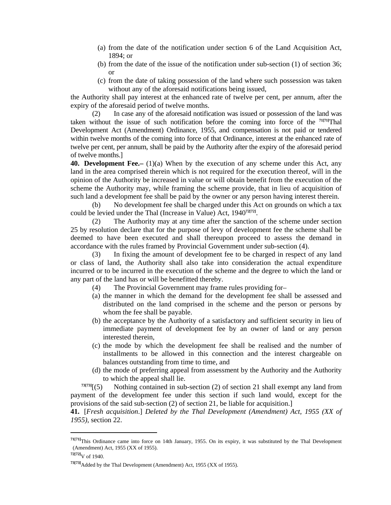- (a) from the date of the notification under section 6 of the Land Acquisition Act, 1894; or
- (b) from the date of the issue of the notification under sub-section (1) of section 36; or
- (c) from the date of taking possession of the land where such possession was taken without any of the aforesaid notifications being issued,

the Authority shall pay interest at the enhanced rate of twelve per cent, per annum, after the expiry of the aforesaid period of twelve months.

 (2) In case any of the aforesaid notification was issued or possession of the land was taken without the issue of such notification before the coming into force of the **71[71]**Thal Development Act (Amendment) Ordinance, 1955, and compensation is not paid or tendered within twelve months of the coming into force of that Ordinance, interest at the enhanced rate of twelve per cent, per annum, shall be paid by the Authority after the expiry of the aforesaid period of twelve months.]

**40. Development Fee.** (1)(a) When by the execution of any scheme under this Act, any land in the area comprised therein which is not required for the execution thereof, will in the opinion of the Authority be increased in value or will obtain benefit from the execution of the scheme the Authority may, while framing the scheme provide, that in lieu of acquisition of such land a development fee shall be paid by the owner or any person having interest therein.

 (b) No development fee shall be charged under this Act on grounds on which a tax could be levied under the Thal (Increase in Value) Act, 1940**72[72]**.

 (2) The Authority may at any time after the sanction of the scheme under section 25 by resolution declare that for the purpose of levy of development fee the scheme shall be deemed to have been executed and shall thereupon proceed to assess the demand in accordance with the rules framed by Provincial Government under sub-section (4).

 (3) In fixing the amount of development fee to be charged in respect of any land or class of land, the Authority shall also take into consideration the actual expenditure incurred or to be incurred in the execution of the scheme and the degree to which the land or any part of the land has or will be benefitted thereby.

- (4) The Provincial Government may frame rules providing for–
- (a) the manner in which the demand for the development fee shall be assessed and distributed on the land comprised in the scheme and the person or persons by whom the fee shall be payable.
- (b) the acceptance by the Authority of a satisfactory and sufficient security in lieu of immediate payment of development fee by an owner of land or any person interested therein,
- (c) the mode by which the development fee shall be realised and the number of installments to be allowed in this connection and the interest chargeable on balances outstanding from time to time, and
- (d) the mode of preferring appeal from assessment by the Authority and the Authority to which the appeal shall lie.<br> $73[73]$  $(65)$  Nothing contained in sub

Nothing contained in sub-section (2) of section 21 shall exempt any land from payment of the development fee under this section if such land would, except for the provisions of the said sub-section (2) of section 21, be liable for acquisition.]

**41.** [*Fresh acquisition*.] *Deleted by the Thal Development (Amendment) Act, 1955 (XX of 1955)*, section 22.

**<sup>71[71]</sup>**This Ordinance came into force on 14th January, 1955. On its expiry, it was substituted by the Thal Development (Amendment) Act, 1955 (XX of 1955).

**<sup>72[72]</sup>**V of 1940.

**<sup>73[73]</sup>**Added by the Thal Development (Amendment) Act, 1955 (XX of 1955).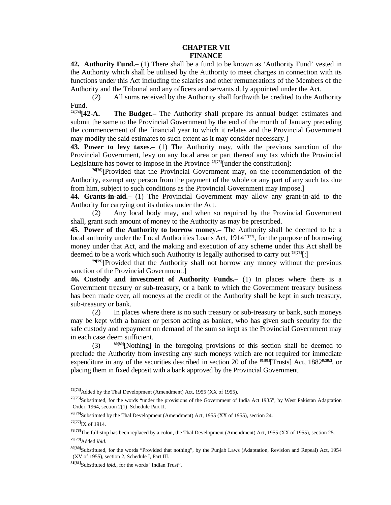#### **CHAPTER VII FINANCE**

**42. Authority Fund.–** (1) There shall be a fund to be known as 'Authority Fund' vested in the Authority which shall be utilised by the Authority to meet charges in connection with its functions under this Act including the salaries and other remunerations of the Members of the Authority and the Tribunal and any officers and servants duly appointed under the Act.

 (2) All sums received by the Authority shall forthwith be credited to the Authority Fund.

**74[74][42-A. The Budget.–** The Authority shall prepare its annual budget estimates and submit the same to the Provincial Government by the end of the month of January preceding the commencement of the financial year to which it relates and the Provincial Government may modify the said estimates to such extent as it may consider necessary.]

**43. Power to levy taxes.–** (1) The Authority may, with the previous sanction of the Provincial Government, levy on any local area or part thereof any tax which the Provincial Legislature has power to impose in the Province **75[75]**[under the constitution]:

**76[76]**[Provided that the Provincial Government may, on the recommendation of the Authority, exempt any person from the payment of the whole or any part of any such tax due from him, subject to such conditions as the Provincial Government may impose.]

**44. Grants-in-aid.–** (1) The Provincial Government may allow any grant-in-aid to the Authority for carrying out its duties under the Act.

 (2) Any local body may, and when so required by the Provincial Government shall, grant such amount of money to the Authority as may be prescribed.

**45. Power of the Authority to borrow money.–** The Authority shall be deemed to be a local authority under the Local Authorities Loans Act, 1914<sup>77[77]</sup>, for the purpose of borrowing money under that Act, and the making and execution of any scheme under this Act shall be deemed to be a work which such Authority is legally authorised to carry out **78[78]**[:]

**79[79]**[Provided that the Authority shall not borrow any money without the previous sanction of the Provincial Government.]

**46. Custody and investment of Authority Funds.–** (1) In places where there is a Government treasury or sub-treasury, or a bank to which the Government treasury business has been made over, all moneys at the credit of the Authority shall be kept in such treasury, sub-treasury or bank.

 (2) In places where there is no such treasury or sub-treasury or bank, such moneys may be kept with a banker or person acting as banker, who has given such security for the safe custody and repayment on demand of the sum so kept as the Provincial Government may in each case deem sufficient.

 (3) **80[80]**[Nothing] in the foregoing provisions of this section shall be deemed to preclude the Authority from investing any such moneys which are not required for immediate expenditure in any of the securities described in section 20 of the **81[81]**[Trusts] Act, 1882**82[82]**, or placing them in fixed deposit with a bank approved by the Provincial Government.

**<sup>74[74]</sup>**Added by the Thal Development (Amendment) Act, 1955 (XX of 1955).

**<sup>75[75]</sup>**Substituted, for the words "under the provisions of the Government of India Act 1935", by West Pakistan Adaptation Order, 1964, section 2(1), Schedule Part II.

**<sup>76[76]</sup>**Substituted by the Thal Development (Amendment) Act, 1955 (XX of 1955), section 24.

**<sup>77[77]</sup>**IX of 1914.

**<sup>78[78]</sup>**The full-stop has been replaced by a colon, the Thal Development (Amendment) Act, 1955 (XX of 1955), section 25. **79[79]**Added *ibid.*

**<sup>80[80]</sup>**Substituted, for the words "Provided that nothing", by the Punjab Laws (Adaptation, Revision and Repeal) Act, 1954 (XV of 1955), section 2, Schedule I, Part III.

**<sup>81[81]</sup>**Substituted *ibid.*, for the words "Indian Trust".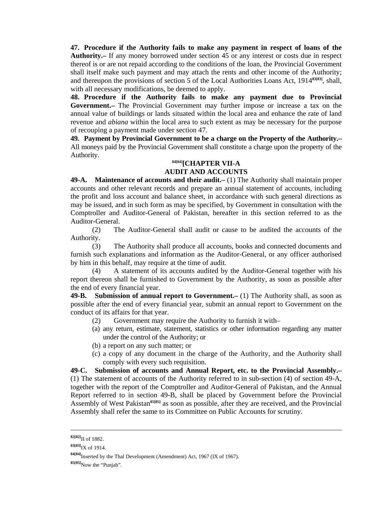**47. Procedure if the Authority fails to make any payment in respect of loans of the Authority.–** If any money borrowed under section 45 or any interest or costs due in respect thereof is or are not repaid according to the conditions of the loan, the Provincial Government shall itself make such payment and may attach the rents and other income of the Authority; and thereupon the provisions of section 5 of the Local Authorities Loans Act, 1914**83[83]**, shall, with all necessary modifications, be deemed to apply.

**48. Procedure if the Authority fails to make any payment due to Provincial Government.–** The Provincial Government may further impose or increase a tax on the annual value of buildings or lands situated within the local area and enhance the rate of land revenue and *abiana* within the local area to such extent as may be necessary for the purpose of recouping a payment made under section 47.

**49. Payment by Provincial Government to be a charge on the Property of the Authority.–** All moneys paid by the Provincial Government shall constitute a charge upon the property of the Authority.

# **84[84][CHAPTER VII-A AUDIT AND ACCOUNTS**

**49-A. Maintenance of accounts and their audit.–** (1) The Authority shall maintain proper accounts and other relevant records and prepare an annual statement of accounts, including the profit and loss account and balance sheet, in accordance with such general directions as may be issued, and in such form as may be specified, by Government in consultation with the Comptroller and Auditor-General of Pakistan, hereafter in this section referred to as the Auditor-General.

 (2) The Auditor-General shall audit or cause to be audited the accounts of the Authority.

 (3) The Authority shall produce all accounts, books and connected documents and furnish such explanations and information as the Auditor-General, or any officer authorised by him in this behalf, may require at the time of audit.

 (4) A statement of its accounts audited by the Auditor-General together with his report thereon shall be furnished to Government by the Authority, as soon as possible after the end of every financial year.

**49-B. Submission of annual report to Government.–** (1) The Authority shall, as soon as possible after the end of every financial year, submit an annual report to Government on the conduct of its affairs for that year.

- (2) Government may require the Authority to furnish it with–
- (a) any return, estimate, statement, statistics or other information regarding any matter under the control of the Authority; or
- (b) a report on any such matter; or
- (c) a copy of any document in the charge of the Authority, and the Authority shall comply with every such requisition.

**49-C. Submission of accounts and Annual Report, etc. to the Provincial Assembly.–** (1) The statement of accounts of the Authority referred to in sub-section (4) of section 49-A, together with the report of the Comptroller and Auditor-General of Pakistan, and the Annual Report referred to in section 49-B, shall be placed by Government before the Provincial Assembly of West Pakistan**85[85]** as soon as possible, after they are received, and the Provincial Assembly shall refer the same to its Committee on Public Accounts for scrutiny.

-

**<sup>82[82]</sup>**II of 1882.

**<sup>83[83]</sup>**IX of 1914.

**<sup>84[84]</sup>**Inserted by the Thal Development (Amendment) Act, 1967 (IX of 1967).

**<sup>85[85]</sup>**Now the "Punjab".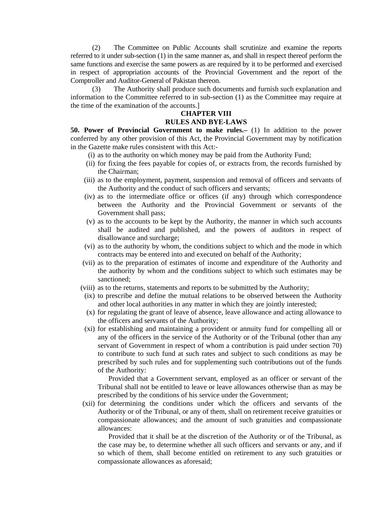(2) The Committee on Public Accounts shall scrutinize and examine the reports referred to it under sub-section (1) in the same manner as, and shall in respect thereof perform the same functions and exercise the same powers as are required by it to be performed and exercised in respect of appropriation accounts of the Provincial Government and the report of the Comptroller and Auditor-General of Pakistan thereon.

 (3) The Authority shall produce such documents and furnish such explanation and information to the Committee referred to in sub-section (1) as the Committee may require at the time of the examination of the accounts.]

#### **CHAPTER VIII RULES AND BYE-LAWS**

**50. Power of Provincial Government to make rules.–** (1) In addition to the power conferred by any other provision of this Act, the Provincial Government may by notification in the Gazette make rules consistent with this Act:-

- (i) as to the authority on which money may be paid from the Authority Fund;
- (ii) for fixing the fees payable for copies of, or extracts from, the records furnished by the Chairman;
- (iii) as to the employment, payment, suspension and removal of officers and servants of the Authority and the conduct of such officers and servants;
- (iv) as to the intermediate office or offices (if any) through which correspondence between the Authority and the Provincial Government or servants of the Government shall pass;
- (v) as to the accounts to be kept by the Authority, the manner in which such accounts shall be audited and published, and the powers of auditors in respect of disallowance and surcharge;
- (vi) as to the authority by whom, the conditions subject to which and the mode in which contracts may be entered into and executed on behalf of the Authority;
- (vii) as to the preparation of estimates of income and expenditure of the Authority and the authority by whom and the conditions subject to which such estimates may be sanctioned;
- (viii) as to the returns, statements and reports to be submitted by the Authority;
- (ix) to prescribe and define the mutual relations to be observed between the Authority and other local authorities in any matter in which they are jointly interested;
- (x) for regulating the grant of leave of absence, leave allowance and acting allowance to the officers and servants of the Authority;
- (xi) for establishing and maintaining a provident or annuity fund for compelling all or any of the officers in the service of the Authority or of the Tribunal (other than any servant of Government in respect of whom a contribution is paid under section 70) to contribute to such fund at such rates and subject to such conditions as may be prescribed by such rules and for supplementing such contributions out of the funds of the Authority:

 Provided that a Government servant, employed as an officer or servant of the Tribunal shall not be entitled to leave or leave allowances otherwise than as may be prescribed by the conditions of his service under the Government;

 (xii) for determining the conditions under which the officers and servants of the Authority or of the Tribunal, or any of them, shall on retirement receive gratuities or compassionate allowances; and the amount of such gratuities and compassionate allowances:

 Provided that it shall be at the discretion of the Authority or of the Tribunal, as the case may be, to determine whether all such officers and servants or any, and if so which of them, shall become entitled on retirement to any such gratuities or compassionate allowances as aforesaid;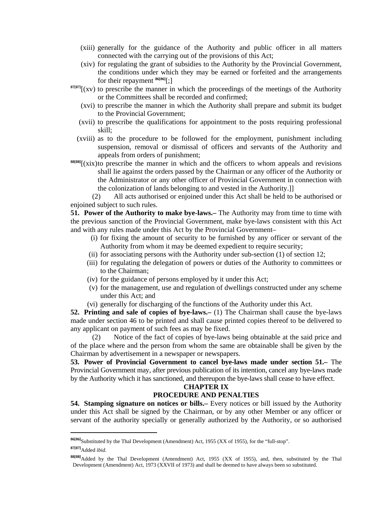- (xiii) generally for the guidance of the Authority and public officer in all matters connected with the carrying out of the provisions of this Act;
- (xiv) for regulating the grant of subsidies to the Authority by the Provincial Government, the conditions under which they may be earned or forfeited and the arrangements for their repayment **86[86]**[;]
- **87[87]**[(xv) to prescribe the manner in which the proceedings of the meetings of the Authority or the Committees shall be recorded and confirmed;
	- (xvi) to prescribe the manner in which the Authority shall prepare and submit its budget to the Provincial Government;
	- (xvii) to prescribe the qualifications for appointment to the posts requiring professional skill;
	- (xviii) as to the procedure to be followed for the employment, punishment including suspension, removal or dismissal of officers and servants of the Authority and appeals from orders of punishment;
- **88[88]**[(xix) to prescribe the manner in which and the officers to whom appeals and revisions shall lie against the orders passed by the Chairman or any officer of the Authority or the Administrator or any other officer of Provincial Government in connection with the colonization of lands belonging to and vested in the Authority.]]

 (2) All acts authorised or enjoined under this Act shall be held to be authorised or enjoined subject to such rules.

**51. Power of the Authority to make bye-laws.–** The Authority may from time to time with the previous sanction of the Provincial Government, make bye-laws consistent with this Act and with any rules made under this Act by the Provincial Government–

- (i) for fixing the amount of security to be furnished by any officer or servant of the Authority from whom it may be deemed expedient to require security;
- (ii) for associating persons with the Authority under sub-section (1) of section 12;
- (iii) for regulating the delegation of powers or duties of the Authority to committees or to the Chairman;
- (iv) for the guidance of persons employed by it under this Act;
- (v) for the management, use and regulation of dwellings constructed under any scheme under this Act; and
- (vi) generally for discharging of the functions of the Authority under this Act.

**52. Printing and sale of copies of bye-laws.–** (1) The Chairman shall cause the bye-laws made under section 46 to be printed and shall cause printed copies thereof to be delivered to any applicant on payment of such fees as may be fixed.

 (2) Notice of the fact of copies of bye-laws being obtainable at the said price and of the place where and the person from whom the same are obtainable shall be given by the Chairman by advertisement in a newspaper or newspapers.

**53. Power of Provincial Government to cancel bye-laws made under section 51.–** The Provincial Government may, after previous publication of its intention, cancel any bye-laws made by the Authority which it has sanctioned, and thereupon the bye-laws shall cease to have effect.

#### **CHAPTER IX**

#### **PROCEDURE AND PENALTIES**

**54. Stamping signature on notices or bills.–** Every notices or bill issued by the Authority under this Act shall be signed by the Chairman, or by any other Member or any officer or servant of the authority specially or generally authorized by the Authority, or so authorised

**<sup>86[86]</sup>**Substituted by the Thal Development (Amendment) Act, 1955 (XX of 1955), for the "full-stop". **87[87]**Added *ibid.*

**<sup>88[88]</sup>**Added by the Thal Development (Amendment) Act, 1955 (XX of 1955), and, then, substituted by the Thal Development (Amendment) Act, 1973 (XXVII of 1973) and shall be deemed to have always been so substituted.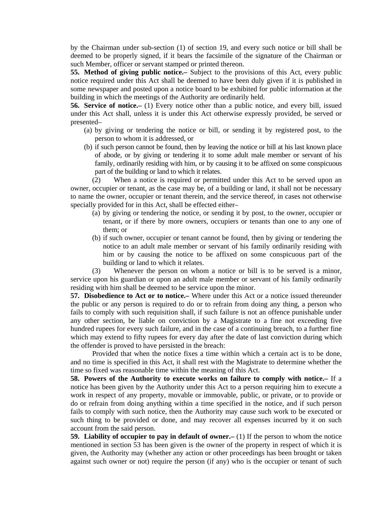by the Chairman under sub-section (1) of section 19, and every such notice or bill shall be deemed to be properly signed, if it bears the facsimile of the signature of the Chairman or such Member, officer or servant stamped or printed thereon.

**55. Method of giving public notice.–** Subject to the provisions of this Act, every public notice required under this Act shall be deemed to have been duly given if it is published in some newspaper and posted upon a notice board to be exhibited for public information at the building in which the meetings of the Authority are ordinarily held.

**56. Service of notice.–** (1) Every notice other than a public notice, and every bill, issued under this Act shall, unless it is under this Act otherwise expressly provided, be served or presented–

- (a) by giving or tendering the notice or bill, or sending it by registered post, to the person to whom it is addressed, or
- (b) if such person cannot be found, then by leaving the notice or bill at his last known place of abode, or by giving or tendering it to some adult male member or servant of his family, ordinarily residing with him, or by causing it to be affixed on some conspicuous part of the building or land to which it relates.

 (2) When a notice is required or permitted under this Act to be served upon an owner, occupier or tenant, as the case may be, of a building or land, it shall not be necessary to name the owner, occupier or tenant therein, and the service thereof, in cases not otherwise specially provided for in this Act, shall be effected either–

- (a) by giving or tendering the notice, or sending it by post, to the owner, occupier or tenant, or if there by more owners, occupiers or tenants than one to any one of them; or
- (b) if such owner, occupier or tenant cannot be found, then by giving or tendering the notice to an adult male member or servant of his family ordinarily residing with him or by causing the notice to be affixed on some conspicuous part of the building or land to which it relates.

 (3) Whenever the person on whom a notice or bill is to be served is a minor, service upon his guardian or upon an adult male member or servant of his family ordinarily residing with him shall be deemed to be service upon the minor.

**57. Disobedience to Act or to notice.–** Where under this Act or a notice issued thereunder the public or any person is required to do or to refrain from doing any thing, a person who fails to comply with such requisition shall, if such failure is not an offence punishable under any other section, be liable on conviction by a Magistrate to a fine not exceeding five hundred rupees for every such failure, and in the case of a continuing breach, to a further fine which may extend to fifty rupees for every day after the date of last conviction during which the offender is proved to have persisted in the breach:

 Provided that when the notice fixes a time within which a certain act is to be done, and no time is specified in this Act, it shall rest with the Magistrate to determine whether the time so fixed was reasonable time within the meaning of this Act.

**58. Powers of the Authority to execute works on failure to comply with notice.–** If a notice has been given by the Authority under this Act to a person requiring him to execute a work in respect of any property, movable or immovable, public, or private, or to provide or do or refrain from doing anything within a time specified in the notice, and if such person fails to comply with such notice, then the Authority may cause such work to be executed or such thing to be provided or done, and may recover all expenses incurred by it on such account from the said person.

**59. Liability of occupier to pay in default of owner.–** (1) If the person to whom the notice mentioned in section 53 has been given is the owner of the property in respect of which it is given, the Authority may (whether any action or other proceedings has been brought or taken against such owner or not) require the person (if any) who is the occupier or tenant of such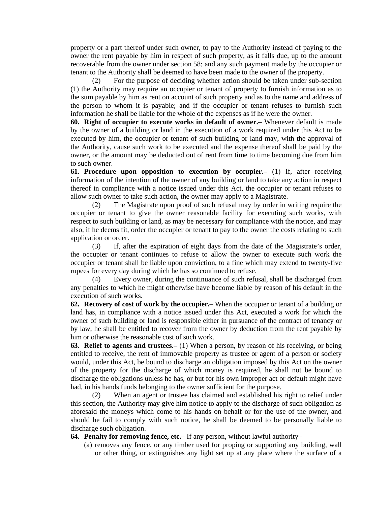property or a part thereof under such owner, to pay to the Authority instead of paying to the owner the rent payable by him in respect of such property, as it falls due, up to the amount recoverable from the owner under section 58; and any such payment made by the occupier or tenant to the Authority shall be deemed to have been made to the owner of the property.

 (2) For the purpose of deciding whether action should be taken under sub-section (1) the Authority may require an occupier or tenant of property to furnish information as to the sum payable by him as rent on account of such property and as to the name and address of the person to whom it is payable; and if the occupier or tenant refuses to furnish such information he shall be liable for the whole of the expenses as if he were the owner.

**60. Right of occupier to execute works in default of owner.–** Whenever default is made by the owner of a building or land in the execution of a work required under this Act to be executed by him, the occupier or tenant of such building or land may, with the approval of the Authority, cause such work to be executed and the expense thereof shall be paid by the owner, or the amount may be deducted out of rent from time to time becoming due from him to such owner.

**61. Procedure upon opposition to execution by occupier.–** (1) If, after receiving information of the intention of the owner of any building or land to take any action in respect thereof in compliance with a notice issued under this Act, the occupier or tenant refuses to allow such owner to take such action, the owner may apply to a Magistrate.

 (2) The Magistrate upon proof of such refusal may by order in writing require the occupier or tenant to give the owner reasonable facility for executing such works, with respect to such building or land, as may be necessary for compliance with the notice, and may also, if he deems fit, order the occupier or tenant to pay to the owner the costs relating to such application or order.

 (3) If, after the expiration of eight days from the date of the Magistrate's order, the occupier or tenant continues to refuse to allow the owner to execute such work the occupier or tenant shall be liable upon conviction, to a fine which may extend to twenty-five rupees for every day during which he has so continued to refuse.

 (4) Every owner, during the continuance of such refusal, shall be discharged from any penalties to which he might otherwise have become liable by reason of his default in the execution of such works.

**62. Recovery of cost of work by the occupier.–** When the occupier or tenant of a building or land has, in compliance with a notice issued under this Act, executed a work for which the owner of such building or land is responsible either in pursuance of the contract of tenancy or by law, he shall be entitled to recover from the owner by deduction from the rent payable by him or otherwise the reasonable cost of such work.

**63. Relief to agents and trustees.–** (1) When a person, by reason of his receiving, or being entitled to receive, the rent of immovable property as trustee or agent of a person or society would, under this Act, be bound to discharge an obligation imposed by this Act on the owner of the property for the discharge of which money is required, he shall not be bound to discharge the obligations unless he has, or but for his own improper act or default might have had, in his hands funds belonging to the owner sufficient for the purpose.

 (2) When an agent or trustee has claimed and established his right to relief under this section, the Authority may give him notice to apply to the discharge of such obligation as aforesaid the moneys which come to his hands on behalf or for the use of the owner, and should he fail to comply with such notice, he shall be deemed to be personally liable to discharge such obligation.

**64. Penalty for removing fence, etc.–** If any person, without lawful authority–

 (a) removes any fence, or any timber used for proping or supporting any building, wall or other thing, or extinguishes any light set up at any place where the surface of a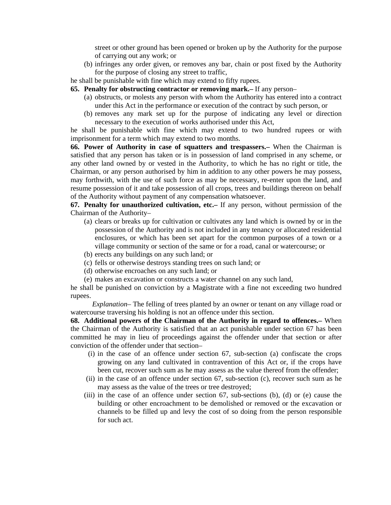street or other ground has been opened or broken up by the Authority for the purpose of carrying out any work; or

- (b) infringes any order given, or removes any bar, chain or post fixed by the Authority for the purpose of closing any street to traffic,
- he shall be punishable with fine which may extend to fifty rupees.
- **65. Penalty for obstructing contractor or removing mark.–** If any person–
	- (a) obstructs, or molests any person with whom the Authority has entered into a contract under this Act in the performance or execution of the contract by such person, or
	- (b) removes any mark set up for the purpose of indicating any level or direction necessary to the execution of works authorised under this Act,

he shall be punishable with fine which may extend to two hundred rupees or with imprisonment for a term which may extend to two months.

**66. Power of Authority in case of squatters and trespassers.–** When the Chairman is satisfied that any person has taken or is in possession of land comprised in any scheme, or any other land owned by or vested in the Authority, to which he has no right or title, the Chairman, or any person authorised by him in addition to any other powers he may possess, may forthwith, with the use of such force as may be necessary, re-enter upon the land, and resume possession of it and take possession of all crops, trees and buildings thereon on behalf of the Authority without payment of any compensation whatsoever.

**67. Penalty for unauthorized cultivation, etc.–** If any person, without permission of the Chairman of the Authority–

- (a) clears or breaks up for cultivation or cultivates any land which is owned by or in the possession of the Authority and is not included in any tenancy or allocated residential enclosures, or which has been set apart for the common purposes of a town or a village community or section of the same or for a road, canal or watercourse; or
- (b) erects any buildings on any such land; or
- (c) fells or otherwise destroys standing trees on such land; or
- (d) otherwise encroaches on any such land; or
- (e) makes an excavation or constructs a water channel on any such land,

he shall be punished on conviction by a Magistrate with a fine not exceeding two hundred rupees.

 *Explanation*– The felling of trees planted by an owner or tenant on any village road or watercourse traversing his holding is not an offence under this section.

**68. Additional powers of the Chairman of the Authority in regard to offences.–** When the Chairman of the Authority is satisfied that an act punishable under section 67 has been committed he may in lieu of proceedings against the offender under that section or after conviction of the offender under that section–

- (i) in the case of an offence under section 67, sub-section (a) confiscate the crops growing on any land cultivated in contravention of this Act or, if the crops have been cut, recover such sum as he may assess as the value thereof from the offender;
- (ii) in the case of an offence under section 67, sub-section (c), recover such sum as he may assess as the value of the trees or tree destroyed;
- (iii) in the case of an offence under section 67, sub-sections (b), (d) or (e) cause the building or other encroachment to be demolished or removed or the excavation or channels to be filled up and levy the cost of so doing from the person responsible for such act.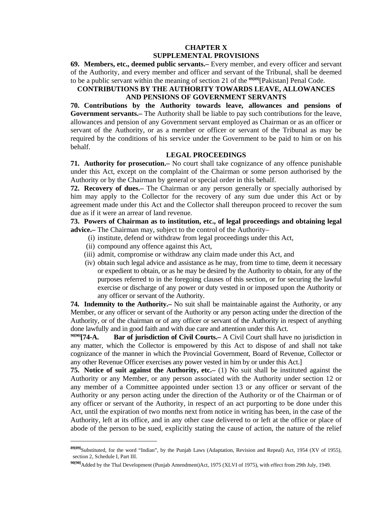# **CHAPTER X SUPPLEMENTAL PROVISIONS**

**69. Members, etc., deemed public servants.–** Every member, and every officer and servant of the Authority, and every member and officer and servant of the Tribunal, shall be deemed to be a public servant within the meaning of section 21 of the **89[89]**[Pakistan] Penal Code.

# **CONTRIBUTIONS BY THE AUTHORITY TOWARDS LEAVE, ALLOWANCES AND PENSIONS OF GOVERNMENT SERVANTS**

**70. Contributions by the Authority towards leave, allowances and pensions of Government servants.–** The Authority shall be liable to pay such contributions for the leave, allowances and pension of any Government servant employed as Chairman or as an officer or servant of the Authority, or as a member or officer or servant of the Tribunal as may be required by the conditions of his service under the Government to be paid to him or on his behalf.

### **LEGAL PROCEEDINGS**

**71. Authority for prosecution.–** No court shall take cognizance of any offence punishable under this Act, except on the complaint of the Chairman or some person authorised by the Authority or by the Chairman by general or special order in this behalf.

**72. Recovery of dues.–** The Chairman or any person generally or specially authorised by him may apply to the Collector for the recovery of any sum due under this Act or by agreement made under this Act and the Collector shall thereupon proceed to recover the sum due as if it were an arrear of land revenue.

**73. Powers of Chairman as to institution, etc., of legal proceedings and obtaining legal advice.–** The Chairman may, subject to the control of the Authority–

- (i) institute, defend or withdraw from legal proceedings under this Act,
- (ii) compound any offence against this Act,

 $\overline{a}$ 

- (iii) admit, compromise or withdraw any claim made under this Act, and
- (iv) obtain such legal advice and assistance as he may, from time to time, deem it necessary or expedient to obtain, or as he may be desired by the Authority to obtain, for any of the purposes referred to in the foregoing clauses of this section, or for securing the lawful exercise or discharge of any power or duty vested in or imposed upon the Authority or any officer or servant of the Authority.

**74. Indemnity to the Authority.–** No suit shall be maintainable against the Authority, or any Member, or any officer or servant of the Authority or any person acting under the direction of the Authority, or of the chairman or of any officer or servant of the Authority in respect of anything done lawfully and in good faith and with due care and attention under this Act.

<sup>90[90]</sup>[74-A. Bar of jurisdiction of Civil Courts.– A Civil Court shall have no jurisdiction in any matter, which the Collector is empowered by this Act to dispose of and shall not take cognizance of the manner in which the Provincial Government, Board of Revenue, Collector or any other Revenue Officer exercises any power vested in him by or under this Act.]

**75. Notice of suit against the Authority, etc.–** (1) No suit shall be instituted against the Authority or any Member, or any person associated with the Authority under section 12 or any member of a Committee appointed under section 13 or any officer or servant of the Authority or any person acting under the direction of the Authority or of the Chairman or of any officer or servant of the Authority, in respect of an act purporting to be done under this Act, until the expiration of two months next from notice in writing has been, in the case of the Authority, left at its office, and in any other case delivered to or left at the office or place of abode of the person to be sued, explicitly stating the cause of action, the nature of the relief

**<sup>89[89]</sup>**Substituted, for the word "Indian", by the Punjab Laws (Adaptation, Revision and Repeal) Act, 1954 (XV of 1955), section 2, Schedule I, Part III.

**<sup>90[90]</sup>**Added by the Thal Development (Punjab Amendment)Act, 1975 (XLVI of 1975), with effect from 29th July, 1949.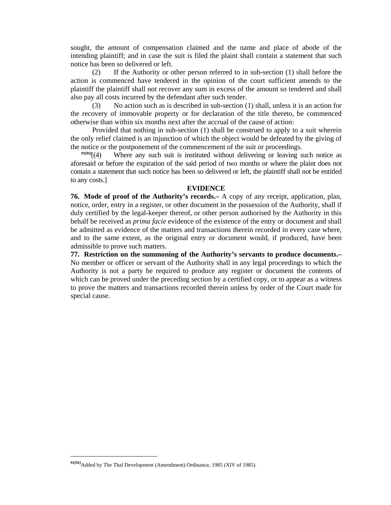sought, the amount of compensation claimed and the name and place of abode of the intending plaintiff; and in case the suit is filed the plaint shall contain a statement that such notice has been so delivered or left.

 (2) If the Authority or other person referred to in sub-section (1) shall before the action is commenced have tendered in the opinion of the court sufficient amends to the plaintiff the plaintiff shall not recover any sum in excess of the amount so tendered and shall also pay all costs incurred by the defendant after such tender.

 (3) No action such as is described in sub-section (1) shall, unless it is an action for the recovery of immovable property or for declaration of the title thereto, be commenced otherwise than within six months next after the accrual of the cause of action:

 Provided that nothing in sub-section (1) shall be construed to apply to a suit wherein the only relief claimed is an injunction of which the object would be defeated by the giving of the notice or the postponement of the commencement of the suit or proceedings.

 $\frac{91[91]}{(4)}$  Where any such suit is instituted without delivering or leaving such notice as aforesaid or before the expiration of the said period of two months or where the plaint does not contain a statement that such notice has been so delivered or left, the plaintiff shall not be entitled to any costs.]

#### **EVIDENCE**

**76. Mode of proof of the Authority's records.–** A copy of any receipt, application, plan, notice, order, entry in a register, or other document in the possession of the Authority, shall if duly certified by the legal-keeper thereof, or other person authorised by the Authority in this behalf be received as *prima facie* evidence of the existence of the entry or document and shall be admitted as evidence of the matters and transactions therein recorded in every case where, and to the same extent, as the original entry or document would, if produced, have been admissible to prove such matters.

**77. Restriction on the summoning of the Authority's servants to produce documents.–** No member or officer or servant of the Authority shall in any legal proceedings to which the Authority is not a party be required to produce any register or document the contents of which can be proved under the preceding section by a certified copy, or to appear as a witness to prove the matters and transactions recorded therein unless by order of the Court made for special cause.

**<sup>91[91]</sup>**Added by The Thal Development (Amendment) Ordinance, 1985 (XIV of 1985).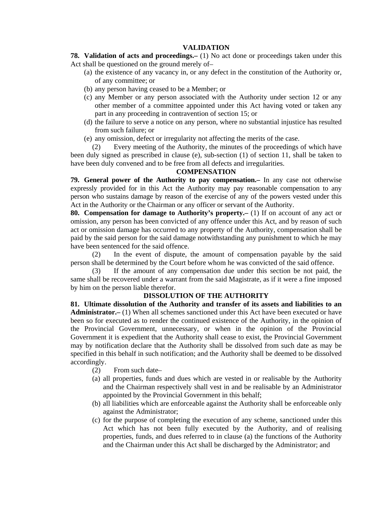### **VALIDATION**

**78. Validation of acts and proceedings.–** (1) No act done or proceedings taken under this Act shall be questioned on the ground merely of–

- (a) the existence of any vacancy in, or any defect in the constitution of the Authority or, of any committee; or
- (b) any person having ceased to be a Member; or
- (c) any Member or any person associated with the Authority under section 12 or any other member of a committee appointed under this Act having voted or taken any part in any proceeding in contravention of section 15; or
- (d) the failure to serve a notice on any person, where no substantial injustice has resulted from such failure; or
- (e) any omission, defect or irregularity not affecting the merits of the case.

 (2) Every meeting of the Authority, the minutes of the proceedings of which have been duly signed as prescribed in clause (e), sub-section (1) of section 11, shall be taken to have been duly convened and to be free from all defects and irregularities.

#### **COMPENSATION**

**79. General power of the Authority to pay compensation.–** In any case not otherwise expressly provided for in this Act the Authority may pay reasonable compensation to any person who sustains damage by reason of the exercise of any of the powers vested under this Act in the Authority or the Chairman or any officer or servant of the Authority.

**80. Compensation for damage to Authority's property.** (1) If on account of any act or omission, any person has been convicted of any offence under this Act, and by reason of such act or omission damage has occurred to any property of the Authority, compensation shall be paid by the said person for the said damage notwithstanding any punishment to which he may have been sentenced for the said offence.

 (2) In the event of dispute, the amount of compensation payable by the said person shall be determined by the Court before whom he was convicted of the said offence.

 (3) If the amount of any compensation due under this section be not paid, the same shall be recovered under a warrant from the said Magistrate, as if it were a fine imposed by him on the person liable therefor.

#### **DISSOLUTION OF THE AUTHORITY**

**81. Ultimate dissolution of the Authority and transfer of its assets and liabilities to an Administrator.–** (1) When all schemes sanctioned under this Act have been executed or have been so for executed as to render the continued existence of the Authority, in the opinion of the Provincial Government, unnecessary, or when in the opinion of the Provincial Government it is expedient that the Authority shall cease to exist, the Provincial Government may by notification declare that the Authority shall be dissolved from such date as may be specified in this behalf in such notification; and the Authority shall be deemed to be dissolved accordingly.

- (2) From such date–
- (a) all properties, funds and dues which are vested in or realisable by the Authority and the Chairman respectively shall vest in and be realisable by an Administrator appointed by the Provincial Government in this behalf;
- (b) all liabilities which are enforceable against the Authority shall be enforceable only against the Administrator;
- (c) for the purpose of completing the execution of any scheme, sanctioned under this Act which has not been fully executed by the Authority, and of realising properties, funds, and dues referred to in clause (a) the functions of the Authority and the Chairman under this Act shall be discharged by the Administrator; and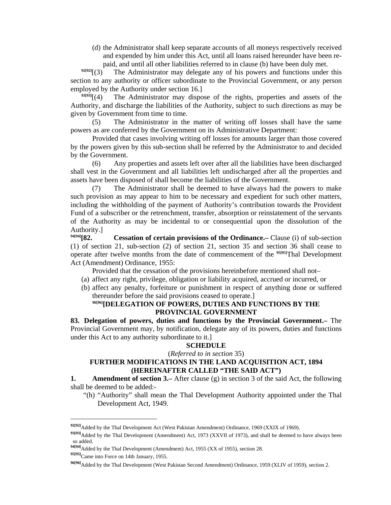(d) the Administrator shall keep separate accounts of all moneys respectively received and expended by him under this Act, until all loans raised hereunder have been re-

paid, and until all other liabilities referred to in clause (b) have been duly met.<br><sup>92[92]</sup>[(3) The Administrator may delegate any of his powers and functions under The Administrator may delegate any of his powers and functions under this section to any authority or officer subordinate to the Provincial Government, or any person employed by the Authority under section 16.]<br><sup>93[93]</sup>[(4) The Administrator may dispo

The Administrator may dispose of the rights, properties and assets of the Authority, and discharge the liabilities of the Authority, subject to such directions as may be given by Government from time to time.

 (5) The Administrator in the matter of writing off losses shall have the same powers as are conferred by the Government on its Administrative Department:

 Provided that cases involving writing off losses for amounts larger than those covered by the powers given by this sub-section shall be referred by the Administrator to and decided by the Government.

 (6) Any properties and assets left over after all the liabilities have been discharged shall vest in the Government and all liabilities left undischarged after all the properties and assets have been disposed of shall become the liabilities of the Government.

 (7) The Administrator shall be deemed to have always had the powers to make such provision as may appear to him to be necessary and expedient for such other matters, including the withholding of the payment of Authority's contribution towards the Provident Fund of a subscriber or the retrenchment, transfer, absorption or reinstatement of the servants of the Authority as may be incidental to or consequential upon the dissolution of the Authority.]<br><sup>94[94]</sup>[**82.** 

**Cessation of certain provisions of the Ordinance.**— Clause (i) of sub-section (1) of section 21, sub-section (2) of section 21, section 35 and section 36 shall cease to operate after twelve months from the date of commencement of the **95[95]**Thal Development Act (Amendment) Ordinance, 1955:

Provided that the cessation of the provisions hereinbefore mentioned shall not–

- (a) affect any right, privilege, obligation or liability acquired, accrued or incurred, or
- (b) affect any penalty, forfeiture or punishment in respect of anything done or suffered thereunder before the said provisions ceased to operate.]

# **96[96][DELEGATION OF POWERS, DUTIES AND FUNCTIONS BY THE PROVINCIAL GOVERNMENT**

**83. Delegation of powers, duties and functions by the Provincial Government.–** The Provincial Government may, by notification, delegate any of its powers, duties and functions under this Act to any authority subordinate to it.]

### **SCHEDULE**

(*Referred to in section* 35)

# **FURTHER MODIFICATIONS IN THE LAND ACQUISITION ACT, 1894 (HEREINAFTER CALLED "THE SAID ACT")**

**1.** Amendment of section 3.– After clause (g) in section 3 of the said Act, the following shall be deemed to be added:-

 "(h) "Authority" shall mean the Thal Development Authority appointed under the Thal Development Act, 1949.

**<sup>92[92]</sup>**Added by the Thal Development Act (West Pakistan Amendment) Ordinance, 1969 (XXIX of 1969).

**<sup>93[93]</sup>**Added by the Thal Development (Amendment) Act, 1973 (XXVII of 1973), and shall be deemed to have always been so added.

**<sup>94[94]</sup>**Added by the Thal Development (Amendment) Act, 1955 (XX of 1955), section 28.

**<sup>95[95]</sup>**Came into Force on 14th January, 1955.

**<sup>96[96]</sup>**Added by the Thal Development (West Pakistan Second Amendment) Ordinance, 1959 (XLIV of 1959), section 2.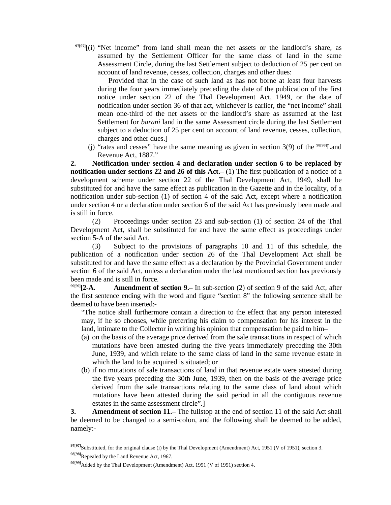**97[97]**[(i) "Net income" from land shall mean the net assets or the landlord's share, as assumed by the Settlement Officer for the same class of land in the same Assessment Circle, during the last Settlement subject to deduction of 25 per cent on account of land revenue, cesses, collection, charges and other dues:

 Provided that in the case of such land as has not borne at least four harvests during the four years immediately preceding the date of the publication of the first notice under section 22 of the Thal Development Act, 1949, or the date of notification under section 36 of that act, whichever is earlier, the "net income" shall mean one-third of the net assets or the landlord's share as assumed at the last Settlement for *barani* land in the same Assessment circle during the last Settlement subject to a deduction of 25 per cent on account of land revenue, cesses, collection, charges and other dues.]

 (j) "rates and cesses" have the same meaning as given in section 3(9) of the **98[98]**Land Revenue Act, 1887."

**2. Notification under section 4 and declaration under section 6 to be replaced by notification under sections 22 and 26 of this Act.**–(1) The first publication of a notice of a development scheme under section 22 of the Thal Development Act, 1949, shall be substituted for and have the same effect as publication in the Gazette and in the locality, of a notification under sub-section (1) of section 4 of the said Act, except where a notification under section 4 or a declaration under section 6 of the said Act has previously been made and is still in force.

 (2) Proceedings under section 23 and sub-section (1) of section 24 of the Thal Development Act, shall be substituted for and have the same effect as proceedings under section 5-A of the said Act.

 (3) Subject to the provisions of paragraphs 10 and 11 of this schedule, the publication of a notification under section 26 of the Thal Development Act shall be substituted for and have the same effect as a declaration by the Provincial Government under section 6 of the said Act, unless a declaration under the last mentioned section has previously been made and is still in force.

**99[99][2-A. Amendment of section 9.–** In sub-section (2) of section 9 of the said Act, after the first sentence ending with the word and figure "section 8" the following sentence shall be deemed to have been inserted:-

 "The notice shall furthermore contain a direction to the effect that any person interested may, if he so chooses, while preferring his claim to compensation for his interest in the land, intimate to the Collector in writing his opinion that compensation be paid to him–

- (a) on the basis of the average price derived from the sale transactions in respect of which mutations have been attested during the five years immediately preceding the 30th June, 1939, and which relate to the same class of land in the same revenue estate in which the land to be acquired is situated; or
- (b) if no mutations of sale transactions of land in that revenue estate were attested during the five years preceding the 30th June, 1939, then on the basis of the average price derived from the sale transactions relating to the same class of land about which mutations have been attested during the said period in all the contiguous revenue estates in the same assessment circle".]

**3.** Amendment of section 11.– The fullstop at the end of section 11 of the said Act shall be deemed to be changed to a semi-colon, and the following shall be deemed to be added, namely:-

**<sup>97[97]</sup>**Substituted, for the original clause (i) by the Thal Development (Amendment) Act, 1951 (V of 1951), section 3. **98[98]**Repealed by the Land Revenue Act, 1967.

**<sup>99[99]</sup>**Added by the Thal Development (Amendment) Act, 1951 (V of 1951) section 4.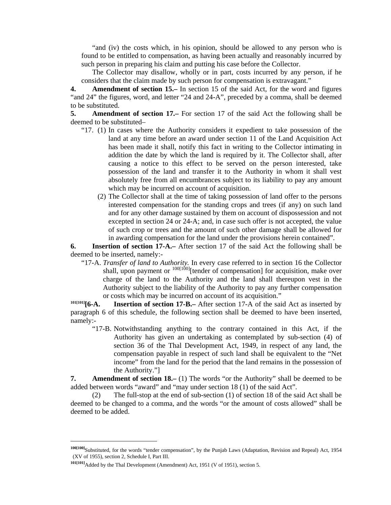"and (iv) the costs which, in his opinion, should be allowed to any person who is found to be entitled to compensation, as having been actually and reasonably incurred by such person in preparing his claim and putting his case before the Collector.

 The Collector may disallow, wholly or in part, costs incurred by any person, if he considers that the claim made by such person for compensation is extravagant."

**4. Amendment of section 15.–** In section 15 of the said Act, for the word and figures "and 24" the figures, word, and letter "24 and 24-A", preceded by a comma, shall be deemed to be substituted.

**5. Amendment of section 17.–** For section 17 of the said Act the following shall be deemed to be substituted–

- "17. (1) In cases where the Authority considers it expedient to take possession of the land at any time before an award under section 11 of the Land Acquisition Act has been made it shall, notify this fact in writing to the Collector intimating in addition the date by which the land is required by it. The Collector shall, after causing a notice to this effect to be served on the person interested, take possession of the land and transfer it to the Authority in whom it shall vest absolutely free from all encumbrances subject to its liability to pay any amount which may be incurred on account of acquisition.
	- (2) The Collector shall at the time of taking possession of land offer to the persons interested compensation for the standing crops and trees (if any) on such land and for any other damage sustained by them on account of dispossession and not excepted in section 24 or 24-A; and, in case such offer is not accepted, the value of such crop or trees and the amount of such other damage shall be allowed for in awarding compensation for the land under the provisions herein contained".

**6. Insertion of section 17-A.–** After section 17 of the said Act the following shall be deemed to be inserted, namely:-

 "17-A. *Transfer of land to Authority.* In every case referred to in section 16 the Collector shall, upon payment or  $^{100[100]}$ [tender of compensation] for acquisition, make over charge of the land to the Authority and the land shall thereupon vest in the Authority subject to the liability of the Authority to pay any further compensation or costs which may be incurred on account of its acquisition."

**101[101][6-A. Insertion of section 17-B.–** After section 17-A of the said Act as inserted by paragraph 6 of this schedule, the following section shall be deemed to have been inserted, namely:-

 "17-B. Notwithstanding anything to the contrary contained in this Act, if the Authority has given an undertaking as contemplated by sub-section (4) of section 36 of the Thal Development Act, 1949, in respect of any land, the compensation payable in respect of such land shall be equivalent to the "Net income" from the land for the period that the land remains in the possession of the Authority."]

**7. Amendment of section 18.–** (1) The words "or the Authority" shall be deemed to be added between words "award" and "may under section 18 (1) of the said Act".

 (2) The full-stop at the end of sub-section (1) of section 18 of the said Act shall be deemed to be changed to a comma, and the words "or the amount of costs allowed" shall be deemed to be added.

**<sup>100[100]</sup>**Substituted, for the words "tender compensation", by the Punjab Laws (Adaptation, Revision and Repeal) Act, 1954 (XV of 1955), section 2, Schedule I, Part III.

**<sup>101[101]</sup>**Added by the Thal Development (Amendment) Act, 1951 (V of 1951), section 5.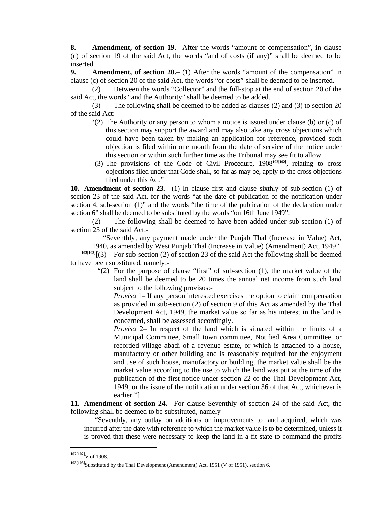**8. Amendment, of section 19.–** After the words "amount of compensation", in clause (c) of section 19 of the said Act, the words "and of costs (if any)" shall be deemed to be inserted.

**9. Amendment, of section 20.–** (1) After the words "amount of the compensation" in clause (c) of section 20 of the said Act, the words "or costs" shall be deemed to be inserted.

 (2) Between the words "Collector" and the full-stop at the end of section 20 of the said Act, the words "and the Authority" shall be deemed to be added.

 (3) The following shall be deemed to be added as clauses (2) and (3) to section 20 of the said Act:-

- " $(2)$  The Authority or any person to whom a notice is issued under clause (b) or  $(c)$  of this section may support the award and may also take any cross objections which could have been taken by making an application for reference, provided such objection is filed within one month from the date of service of the notice under this section or within such further time as the Tribunal may see fit to allow.
- (3) The provisions of the Code of Civil Procedure, 1908**102[102]**, relating to cross objections filed under that Code shall, so far as may be, apply to the cross objections filed under this Act."

**10. Amendment of section 23.–** (1) In clause first and clause sixthly of sub-section (1) of section 23 of the said Act, for the words "at the date of publication of the notification under section 4, sub-section (1)" and the words "the time of the publication of the declaration under section 6" shall be deemed to be substituted by the words "on 16th June 1949".

 (2) The following shall be deemed to have been added under sub-section (1) of section 23 of the said Act:-

"Seventhly, any payment made under the Punjab Thal (Increase in Value) Act,

1940, as amended by West Punjab Thal (Increase in Value) (Amendment) Act, 1949".

 $103[103]$ [(3) For sub-section (2) of section 23 of the said Act the following shall be deemed to have been substituted, namely:-

 "(2) For the purpose of clause "first" of sub-section (1), the market value of the land shall be deemed to be 20 times the annual net income from such land subject to the following provisos:-

 *Proviso* 1– If any person interested exercises the option to claim compensation as provided in sub-section (2) of section 9 of this Act as amended by the Thal Development Act, 1949, the market value so far as his interest in the land is concerned, shall be assessed accordingly.

 *Proviso* 2– In respect of the land which is situated within the limits of a Municipal Committee, Small town committee, Notified Area Committee, or recorded village abadi of a revenue estate, or which is attached to a house, manufactory or other building and is reasonably required for the enjoyment and use of such house, manufactory or building, the market value shall be the market value according to the use to which the land was put at the time of the publication of the first notice under section 22 of the Thal Development Act, 1949, or the issue of the notification under section 36 of that Act, whichever is earlier."]

**11. Amendment of section 24.–** For clause Seventhly of section 24 of the said Act, the following shall be deemed to be substituted, namely–

 "Seventhly, any outlay on additions or improvements to land acquired, which was incurred after the date with reference to which the market value is to be determined, unless it is proved that these were necessary to keep the land in a fit state to command the profits

**<sup>102[102]</sup>**V of 1908.

**<sup>103[103]</sup>**Substituted by the Thal Development (Amendment) Act, 1951 (V of 1951), section 6.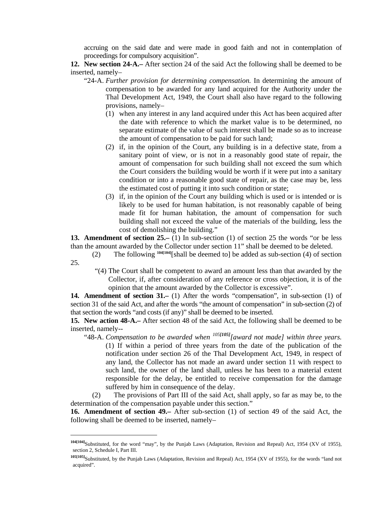accruing on the said date and were made in good faith and not in contemplation of proceedings for compulsory acquisition".

**12. New section 24-A.–** After section 24 of the said Act the following shall be deemed to be inserted, namely–

- "24-A. *Further provision for determining compensation.* In determining the amount of compensation to be awarded for any land acquired for the Authority under the Thal Development Act, 1949, the Court shall also have regard to the following provisions, namely–
	- (1) when any interest in any land acquired under this Act has been acquired after the date with reference to which the market value is to be determined, no separate estimate of the value of such interest shall be made so as to increase the amount of compensation to be paid for such land;
	- (2) if, in the opinion of the Court, any building is in a defective state, from a sanitary point of view, or is not in a reasonably good state of repair, the amount of compensation for such building shall not exceed the sum which the Court considers the building would be worth if it were put into a sanitary condition or into a reasonable good state of repair, as the case may be, less the estimated cost of putting it into such condition or state;
	- (3) if, in the opinion of the Court any building which is used or is intended or is likely to be used for human habitation, is not reasonably capable of being made fit for human habitation, the amount of compensation for such building shall not exceed the value of the materials of the building, less the cost of demolishing the building."

**13. Amendment of section 25.–** (1) In sub-section (1) of section 25 the words "or be less than the amount awarded by the Collector under section 11" shall be deemed to be deleted.

 (2) The following **104[104]**[shall be deemed to] be added as sub-section (4) of section 25.

 "(4) The Court shall be competent to award an amount less than that awarded by the Collector, if, after consideration of any reference or cross objection, it is of the opinion that the amount awarded by the Collector is excessive".

**14. Amendment of section 31.–** (1) After the words "compensation", in sub-section (1) of section 31 of the said Act, and after the words "the amount of compensation" in sub-section (2) of that section the words "and costs (if any)" shall be deemed to be inserted.

**15. New action 48-A.–** After section 48 of the said Act, the following shall be deemed to be inserted, namely--

 "48-A. *Compensation to be awarded when <sup>105</sup>[105][award not made] within three years.* (1) If within a period of three years from the date of the publication of the notification under section 26 of the Thal Development Act, 1949, in respect of any land, the Collector has not made an award under section 11 with respect to such land, the owner of the land shall, unless he has been to a material extent responsible for the delay, be entitled to receive compensation for the damage suffered by him in consequence of the delay.

 (2) The provisions of Part III of the said Act, shall apply, so far as may be, to the determination of the compensation payable under this section."

**16. Amendment of section 49.–** After sub-section (1) of section 49 of the said Act, the following shall be deemed to be inserted, namely–

**<sup>104[104]</sup>**Substituted, for the word "may", by the Punjab Laws (Adaptation, Revision and Repeal) Act, 1954 (XV of 1955), section 2, Schedule I, Part III.

**<sup>105[105]</sup>**Substituted, by the Punjab Laws (Adaptation, Revision and Repeal) Act, 1954 (XV of 1955), for the words "land not acquired".